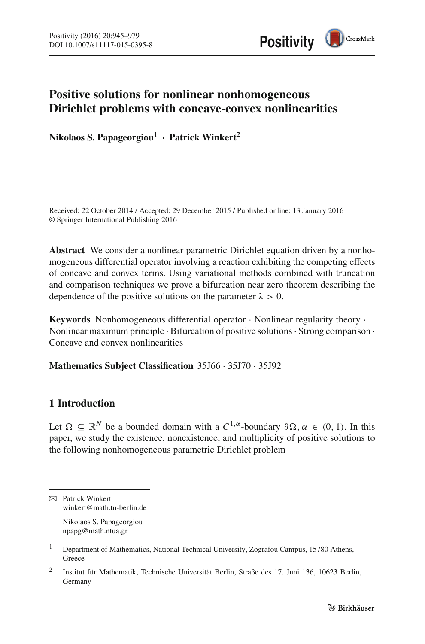

# **Positive solutions for nonlinear nonhomogeneous Dirichlet problems with concave-convex nonlinearities**

**Nikolaos S. Papageorgiou1 · Patrick Winkert<sup>2</sup>**

Received: 22 October 2014 / Accepted: 29 December 2015 / Published online: 13 January 2016 © Springer International Publishing 2016

**Abstract** We consider a nonlinear parametric Dirichlet equation driven by a nonhomogeneous differential operator involving a reaction exhibiting the competing effects of concave and convex terms. Using variational methods combined with truncation and comparison techniques we prove a bifurcation near zero theorem describing the dependence of the positive solutions on the parameter  $\lambda > 0$ .

**Keywords** Nonhomogeneous differential operator · Nonlinear regularity theory · Nonlinear maximum principle · Bifurcation of positive solutions· Strong comparison · Concave and convex nonlinearities

**Mathematics Subject Classification** 35J66 · 35J70 · 35J92

# **1 Introduction**

Let  $\Omega \subseteq \mathbb{R}^N$  be a bounded domain with a  $C^{1,\alpha}$ -boundary  $\partial \Omega$ ,  $\alpha \in (0,1)$ . In this paper, we study the existence, nonexistence, and multiplicity of positive solutions to the following nonhomogeneous parametric Dirichlet problem

 $\boxtimes$  Patrick Winkert winkert@math.tu-berlin.de Nikolaos S. Papageorgiou npapg@math.ntua.gr

<sup>&</sup>lt;sup>1</sup> Department of Mathematics, National Technical University, Zografou Campus, 15780 Athens, Greece

<sup>2</sup> Institut für Mathematik, Technische Universität Berlin, Straße des 17. Juni 136, 10623 Berlin, Germany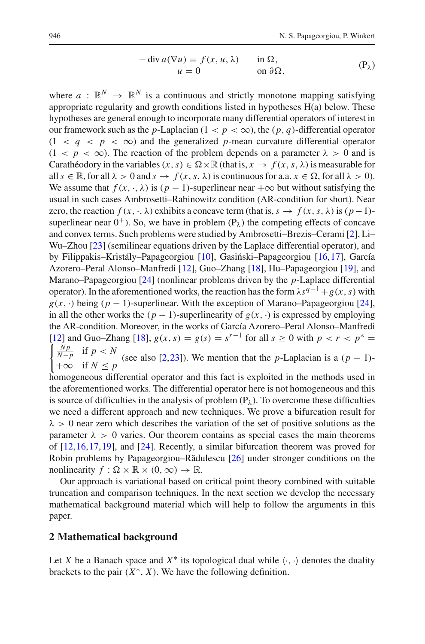$$
-\operatorname{div} a(\nabla u) = f(x, u, \lambda) \quad \text{in } \Omega, u = 0 \quad \text{on } \partial \Omega,
$$
 (P<sub>\lambda</sub>)

where  $a : \mathbb{R}^N \to \mathbb{R}^N$  is a continuous and strictly monotone mapping satisfying appropriate regularity and growth conditions listed in hypotheses H(a) below. These hypotheses are general enough to incorporate many differential operators of interest in our framework such as the *p*-Laplacian ( $1 < p < \infty$ ), the  $(p, q)$ -differential operator  $(1 < q < p < \infty)$  and the generalized *p*-mean curvature differential operator  $(1 < p < \infty)$ . The reaction of the problem depends on a parameter  $\lambda > 0$  and is Carathéodory in the variables  $(x, s) \in \Omega \times \mathbb{R}$  (that is,  $x \to f(x, s, \lambda)$  is measurable for all  $s \in \mathbb{R}$ , for all  $\lambda > 0$  and  $s \to f(x, s, \lambda)$  is continuous for a.a.  $x \in \Omega$ , for all  $\lambda > 0$ . We assume that  $f(x, \cdot, \lambda)$  is  $(p-1)$ -superlinear near  $+\infty$  but without satisfying the usual in such cases Ambrosetti–Rabinowitz condition (AR-condition for short). Near zero, the reaction  $f(x, \cdot, \lambda)$  exhibits a concave term (that is,  $s \to f(x, s, \lambda)$  is  $(p-1)$ superlinear near  $0^+$ ). So, we have in problem  $(P_\lambda)$  the competing effects of concave and convex terms. Such problems were studied by Ambrosetti–Brezis–Cerami [\[2\]](#page-33-0), Li– Wu–Zhou [\[23](#page-34-0)] (semilinear equations driven by the Laplace differential operator), and by Filippakis–Kristály–Papageorgiou [\[10\]](#page-33-1), Gasiński–Papageorgiou [\[16,](#page-33-2)[17\]](#page-33-3), García Azorero–Peral Alonso–Manfredi [\[12\]](#page-33-4), Guo–Zhang [\[18\]](#page-33-5), Hu–Papageorgiou [\[19](#page-33-6)], and Marano–Papageorgiou [\[24\]](#page-34-1) (nonlinear problems driven by the *p*-Laplace differential operator). In the aforementioned works, the reaction has the form  $\lambda s^{q-1} + g(x, s)$  with  $g(x, \cdot)$  being ( $p - 1$ )-superlinear. With the exception of Marano–Papageorgiou [\[24](#page-34-1)], in all the other works the  $(p - 1)$ -superlinearity of  $g(x, \cdot)$  is expressed by employing the AR-condition. Moreover, in the works of García Azorero–Peral Alonso–Manfredi [\[12](#page-33-4)] and Guo–Zhang [\[18\]](#page-33-5),  $g(x, s) = g(s) = s^{r-1}$  for all  $s ≥ 0$  with  $p < r < p^* =$   $\int_{s}^{N} p \text{ if } p < N$  $\int \frac{Np}{N-p}$  if  $p < N$  $\mid +\infty$  if  $N < p$ (see also [\[2,](#page-33-0)[23\]](#page-34-0)). We mention that the *p*-Laplacian is a  $(p - 1)$ -

homogeneous differential operator and this fact is exploited in the methods used in the aforementioned works. The differential operator here is not homogeneous and this is source of difficulties in the analysis of problem  $(P_\lambda)$ . To overcome these difficulties we need a different approach and new techniques. We prove a bifurcation result for  $\lambda > 0$  near zero which describes the variation of the set of positive solutions as the parameter  $\lambda > 0$  varies. Our theorem contains as special cases the main theorems of [\[12,](#page-33-4)[16](#page-33-2)[,17](#page-33-3)[,19](#page-33-6)], and [\[24](#page-34-1)]. Recently, a similar bifurcation theorem was proved for Robin problems by Papageorgiou–Rădulescu [\[26](#page-34-2)] under stronger conditions on the nonlinearity  $f : \Omega \times \mathbb{R} \times (0, \infty) \to \mathbb{R}$ .

Our approach is variational based on critical point theory combined with suitable truncation and comparison techniques. In the next section we develop the necessary mathematical background material which will help to follow the arguments in this paper.

## **2 Mathematical background**

Let *X* be a Banach space and  $X^*$  its topological dual while  $\langle \cdot, \cdot \rangle$  denotes the duality brackets to the pair  $(X^*, X)$ . We have the following definition.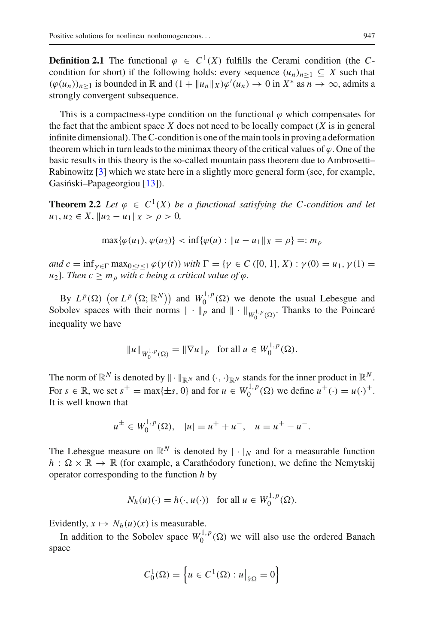**Definition 2.1** The functional  $\varphi \in C^1(X)$  fulfills the Cerami condition (the *C*condition for short) if the following holds: every sequence  $(u_n)_{n\geq 1} \subseteq X$  such that  $(\varphi(u_n))_{n\geq 1}$  is bounded in  $\mathbb R$  and  $(1 + ||u_n||_X)\varphi'(u_n) \to 0$  in  $X^*$  as  $n \to \infty$ , admits a strongly convergent subsequence.

This is a compactness-type condition on the functional  $\varphi$  which compensates for the fact that the ambient space *X* does not need to be locally compact (*X* is in general infinite dimensional). The C-condition is one of the main tools in proving a deformation theorem which in turn leads to the minimax theory of the critical values of  $\varphi$ . One of the basic results in this theory is the so-called mountain pass theorem due to Ambrosetti– Rabinowitz [\[3\]](#page-33-7) which we state here in a slightly more general form (see, for example, Gasiński–Papageorgiou [\[13\]](#page-33-8)).

<span id="page-2-0"></span>**Theorem 2.2** *Let*  $\varphi \in C^1(X)$  *be a functional satisfying the C-condition and let*  $u_1, u_2 \in X$ ,  $||u_2 - u_1||_X > \rho > 0$ ,

$$
\max{\{\varphi(u_1), \varphi(u_2)\}} < \inf{\{\varphi(u) : \|u - u_1\|_X = \rho\}} =: m_\rho
$$

*and*  $c = \inf_{\gamma \in \Gamma} \max_{0 \le t \le 1} \varphi(\gamma(t))$  *with*  $\Gamma = {\gamma \in C ([0, 1], X) : \gamma(0) = u_1, \gamma(1) = \Gamma(\Gamma)$  $u_2$ *}. Then c*  $\geq m_\rho$  *with c being a critical value of*  $\varphi$ *.* 

By  $L^p(\Omega)$  (or  $L^p(\Omega; \mathbb{R}^N)$ ) and  $W_0^{1,p}(\Omega)$  we denote the usual Lebesgue and Sobolev spaces with their norms  $\|\cdot\|_p$  and  $\|\cdot\|_{W_0^{1,p}(\Omega)}$ . Thanks to the Poincaré inequality we have

$$
||u||_{W_0^{1,p}(\Omega)} = ||\nabla u||_p \text{ for all } u \in W_0^{1,p}(\Omega).
$$

The norm of  $\mathbb{R}^N$  is denoted by  $\|\cdot\|_{\mathbb{R}^N}$  and  $(\cdot, \cdot)_{\mathbb{R}^N}$  stands for the inner product in  $\mathbb{R}^N$ . For  $s \in \mathbb{R}$ , we set  $s^{\pm} = \max\{\pm s, 0\}$  and for  $u \in W_0^{1,p}(\Omega)$  we define  $u^{\pm}(\cdot) = u(\cdot)^{\pm}$ . It is well known that

$$
u^{\pm} \in W_0^{1,p}(\Omega)
$$
,  $|u| = u^+ + u^-$ ,  $u = u^+ - u^-$ .

The Lebesgue measure on  $\mathbb{R}^N$  is denoted by  $|\cdot|_N$  and for a measurable function  $h : \Omega \times \mathbb{R} \to \mathbb{R}$  (for example, a Carathéodory function), we define the Nemytskij operator corresponding to the function *h* by

$$
N_h(u)(\cdot) = h(\cdot, u(\cdot)) \text{ for all } u \in W_0^{1,p}(\Omega).
$$

Evidently,  $x \mapsto N_h(u)(x)$  is measurable.

In addition to the Sobolev space  $W_0^{1,p}(\Omega)$  we will also use the ordered Banach space

$$
C_0^1(\overline{\Omega}) = \left\{ u \in C^1(\overline{\Omega}) : u \big|_{\partial \Omega} = 0 \right\}
$$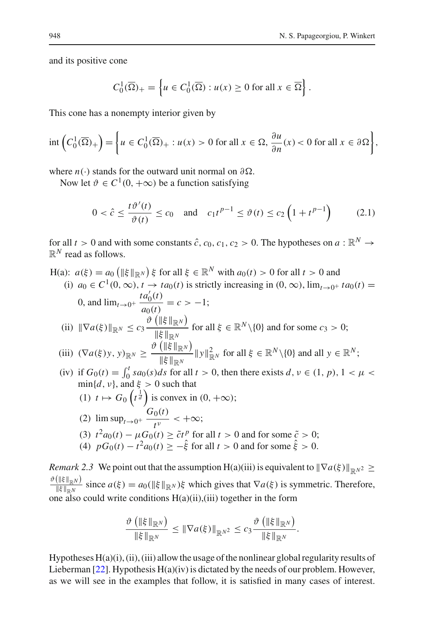and its positive cone

$$
C_0^1(\overline{\Omega})_+ = \left\{ u \in C_0^1(\overline{\Omega}) : u(x) \ge 0 \text{ for all } x \in \overline{\Omega} \right\}.
$$

This cone has a nonempty interior given by

$$
\operatorname{int}\left(C_0^1(\overline{\Omega})_+\right) = \left\{ u \in C_0^1(\overline{\Omega})_+ : u(x) > 0 \text{ for all } x \in \Omega, \frac{\partial u}{\partial n}(x) < 0 \text{ for all } x \in \partial \Omega \right\},\
$$

where  $n(\cdot)$  stands for the outward unit normal on  $\partial \Omega$ .

Now let  $\vartheta \in C^1(0, +\infty)$  be a function satisfying

<span id="page-3-0"></span>
$$
0 < \hat{c} \le \frac{t\vartheta'(t)}{\vartheta(t)} \le c_0 \quad \text{and} \quad c_1 t^{p-1} \le \vartheta(t) \le c_2 \left(1 + t^{p-1}\right) \tag{2.1}
$$

for all  $t > 0$  and with some constants  $\hat{c}$ ,  $c_0$ ,  $c_1$ ,  $c_2 > 0$ . The hypotheses on  $a : \mathbb{R}^N \to$  $\mathbb{R}^N$  read as follows.

H(a): 
$$
a(\xi) = a_0 (\|\xi\|_{\mathbb{R}^N}) \xi
$$
 for all  $\xi \in \mathbb{R}^N$  with  $a_0(t) > 0$  for all  $t > 0$  and  
\n(i)  $a_0 \in C^1(0, \infty), t \to ta_0(t)$  is strictly increasing in  $(0, \infty)$ ,  $\lim_{t \to 0^+} ta_0(t) =$   
\n0, and  $\lim_{t \to 0^+} \frac{ta'_0(t)}{a_0(t)} = c > -1$ ;  
\n(ii)  $\|\nabla a(\xi)\|_{\mathbb{R}^N} \le c_3 \frac{\vartheta (\|\xi\|_{\mathbb{R}^N})}{\|\xi\|_{\mathbb{R}^N}}$  for all  $\xi \in \mathbb{R}^N \setminus \{0\}$  and for some  $c_3 > 0$ ;  
\n(iii)  $(\nabla a(\xi)y, y)_{\mathbb{R}^N} \ge \frac{\vartheta (\|\xi\|_{\mathbb{R}^N})}{\|\xi\|_{\mathbb{R}^N}} \|\mathbf{y}\|_{\mathbb{R}^N}^2$  for all  $\xi \in \mathbb{R}^N \setminus \{0\}$  and all  $y \in \mathbb{R}^N$ ;  
\n(iv) if  $G_0(t) = \int_0^t sa_0(s)ds$  for all  $t > 0$ , then there exists  $d, v \in (1, p), 1 < \mu <$   
\n $\min\{d, v\}$ , and  $\xi > 0$  such that  
\n(1)  $t \mapsto G_0 \left(t^{\frac{1}{d}}\right)$  is convex in  $(0, +\infty)$ ;  
\n(2)  $\limsup_{t \to 0^+} \frac{G_0(t)}{t^{\nu}} < +\infty$ ;  
\n(3)  $t^2 a_0(t) - \mu G_0(t) \ge \tilde{c}t^p$  for all  $t > 0$  and for some  $\tilde{\zeta} > 0$ ;

(4)  $pG_0(t) - t^2 a_0(t) \ge -\hat{\xi}$  for all  $t > 0$  and for some  $\hat{\xi} > 0$ .

*Remark 2.3* We point out that the assumption H(a)(iii) is equivalent to  $\|\nabla a(\xi)\|_{\mathbb{R}^{N^2}} \geq$  $\frac{\partial (\|\xi\|_{\mathbb{R}^N})}{\|\xi\|_{\mathbb{R}^N}}$  since  $a(\xi) = a_0(\|\xi\|_{\mathbb{R}^N})\xi$  which gives that  $\nabla a(\xi)$  is symmetric. Therefore, one also could write conditions  $H(a)(ii)$ ,(iii) together in the form

$$
\frac{\vartheta\left(\|\xi\|_{\mathbb{R}^N}\right)}{\|\xi\|_{\mathbb{R}^N}} \leq \|\nabla a(\xi)\|_{\mathbb{R}^{N^2}} \leq c_3 \frac{\vartheta\left(\|\xi\|_{\mathbb{R}^N}\right)}{\|\xi\|_{\mathbb{R}^N}}.
$$

Hypotheses  $H(a)(i)$ , (ii), (iii) allow the usage of the nonlinear global regularity results of Lieberman  $[22]$ . Hypothesis  $H(a)(iv)$  is dictated by the needs of our problem. However, as we will see in the examples that follow, it is satisfied in many cases of interest.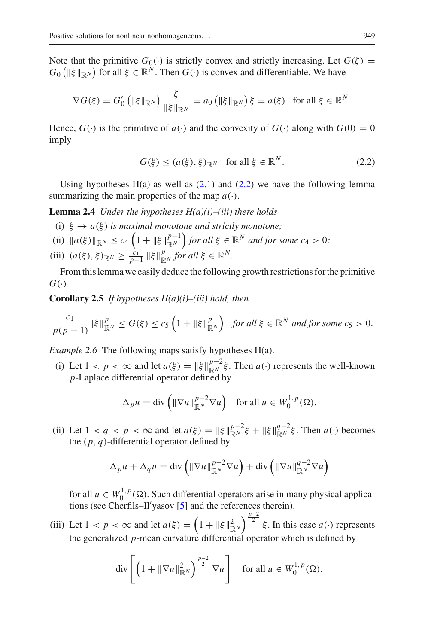Note that the primitive  $G_0(\cdot)$  is strictly convex and strictly increasing. Let  $G(\xi)$  =  $G_0$  ( $\|\xi\|_{\mathbb{R}^N}$ ) for all  $\xi \in \mathbb{R}^N$ . Then  $G(\cdot)$  is convex and differentiable. We have

$$
\nabla G(\xi) = G'_0 \left( \|\xi\|_{\mathbb{R}^N} \right) \frac{\xi}{\|\xi\|_{\mathbb{R}^N}} = a_0 \left( \|\xi\|_{\mathbb{R}^N} \right) \xi = a(\xi) \text{ for all } \xi \in \mathbb{R}^N.
$$

Hence,  $G(\cdot)$  is the primitive of  $a(\cdot)$  and the convexity of  $G(\cdot)$  along with  $G(0) = 0$ imply

<span id="page-4-0"></span>
$$
G(\xi) \le (a(\xi), \xi)_{\mathbb{R}^N} \quad \text{for all } \xi \in \mathbb{R}^N. \tag{2.2}
$$

Using hypotheses  $H(a)$  as well as  $(2.1)$  and  $(2.2)$  we have the following lemma summarizing the main properties of the map  $a(\cdot)$ .

<span id="page-4-1"></span>**Lemma 2.4** *Under the hypotheses H(a)(i)–(iii) there holds*

- (i)  $\xi \to a(\xi)$  *is maximal monotone and strictly monotone*;
- $\|a(\xi)\|_{\mathbb{R}^N} \leq c_4 \left(1 + \|\xi\|_{\mathbb{R}^N}^{p-1}\right)$  for all  $\xi \in \mathbb{R}^N$  and for some  $c_4 > 0$ ;
- (iii)  $(a(\xi), \xi)_{\mathbb{R}^N} \ge \frac{c_1}{p-1} \|\xi\|_{\mathbb{R}^N}^p$  *for all*  $\xi \in \mathbb{R}^N$ *.*

<span id="page-4-2"></span>From this lemma we easily deduce the following growth restrictions for the primitive  $G(\cdot)$ .

**Corollary 2.5** *If hypotheses H(a)(i)–(iii) hold, then*

$$
\frac{c_1}{p(p-1)} \|\xi\|_{\mathbb{R}^N}^p \le G(\xi) \le c_5 \left(1 + \|\xi\|_{\mathbb{R}^N}^p\right) \text{ for all } \xi \in \mathbb{R}^N \text{ and for some } c_5 > 0.
$$

*Example 2.6* The following maps satisfy hypotheses H(a).

(i) Let  $1 < p < \infty$  and let  $a(\xi) = ||\xi||_{\mathbb{R}^N}^{p-2} \xi$ . Then  $a(\cdot)$  represents the well-known *p*-Laplace differential operator defined by

$$
\Delta_p u = \text{div}\left(\|\nabla u\|_{\mathbb{R}^N}^{p-2} \nabla u\right) \quad \text{for all } u \in W_0^{1,p}(\Omega).
$$

(ii) Let  $1 < q < p < \infty$  and let  $a(\xi) = ||\xi||_{\mathbb{R}^N}^{p-2}\xi + ||\xi||_{\mathbb{R}^N}^{q-2}\xi$ . Then  $a(\cdot)$  becomes the  $(p, q)$ -differential operator defined by

$$
\Delta_p u + \Delta_q u = \text{div}\left(\|\nabla u\|_{\mathbb{R}^N}^{p-2} \nabla u\right) + \text{div}\left(\|\nabla u\|_{\mathbb{R}^N}^{q-2} \nabla u\right)
$$

for all  $u \in W_0^{1,p}(\Omega)$ . Such differential operators arise in many physical applications (see Cherfils–Il yasov [\[5](#page-33-10)] and the references therein).

(iii) Let  $1 < p < \infty$  and let  $a(\xi) = \left(1 + \|\xi\|_{\mathbb{R}^N}^2\right)^{\frac{p-2}{2}} \xi$ . In this case  $a(\cdot)$  represents the generalized *p*-mean curvature differential operator which is defined by

$$
\operatorname{div}\left[\left(1+\|\nabla u\|_{\mathbb{R}^N}^2\right)^{\frac{p-2}{2}}\nabla u\right] \quad \text{for all } u \in W_0^{1,p}(\Omega).
$$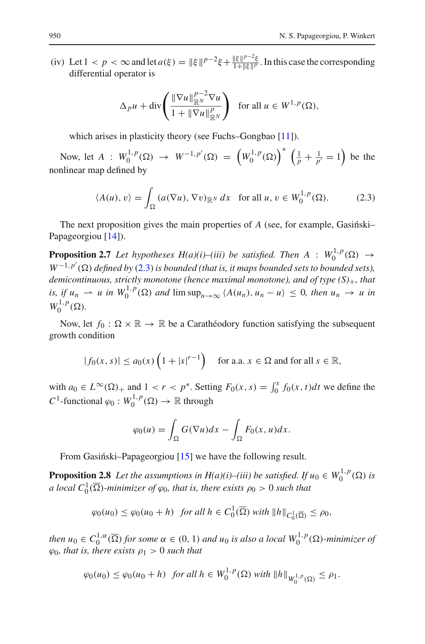(iv) Let  $1 < p < \infty$  and let  $a(\xi) = ||\xi||^{p-2}\xi + \frac{||\xi||^{p-2}\xi}{1+||\xi||^p}$ . In this case the corresponding differential operator is

$$
\Delta_p u + \operatorname{div}\left(\frac{\|\nabla u\|_{\mathbb{R}^N}^{p-2} \nabla u}{1 + \|\nabla u\|_{\mathbb{R}^N}^p}\right) \text{ for all } u \in W^{1,p}(\Omega),
$$

which arises in plasticity theory (see Fuchs–Gongbao [\[11](#page-33-11)]).

Now, let  $A : W_0^{1,p}(\Omega) \to W^{-1,p'}(\Omega) = \left(W_0^{1,p}(\Omega)\right)^* \left(\frac{1}{p} + \frac{1}{p'} = 1\right)$  be the nonlinear map defined by

<span id="page-5-0"></span>
$$
\langle A(u), v \rangle = \int_{\Omega} \left( a(\nabla u), \nabla v \right)_{\mathbb{R}^N} dx \quad \text{for all } u, v \in W_0^{1, p}(\Omega). \tag{2.3}
$$

<span id="page-5-1"></span>The next proposition gives the main properties of  $A$  (see, for example, Gasing  $k$ i-Papageorgiou [\[14\]](#page-33-12)).

**Proposition 2.7** *Let hypotheses H(a)(i)–(iii) be satisfied. Then*  $A : W_0^{1,p}(\Omega) \to$  $W^{-1,p'}(\Omega)$  *defined by* [\(2.3\)](#page-5-0) *is bounded (that is, it maps bounded sets to bounded sets)*, *demicontinuous, strictly monotone (hence maximal monotone), and of type (S)*+*, that*  $i s, i f u_n \rightharpoonup u$  *in*  $W_0^{1,p}(\Omega)$  *and*  $\limsup_{n\to\infty} \langle A(u_n), u_n - u \rangle \leq 0$ , *then*  $u_n \to u$  *in*  $W_0^{1,p}(\Omega)$ .

Now, let  $f_0 : \Omega \times \mathbb{R} \to \mathbb{R}$  be a Carathéodory function satisfying the subsequent growth condition

$$
|f_0(x, s)| \le a_0(x) \left(1 + |s|^{r-1}\right) \quad \text{for a.a. } x \in \Omega \text{ and for all } s \in \mathbb{R},
$$

with  $a_0 \in L^{\infty}(\Omega)$  + and  $1 < r < p^*$ . Setting  $F_0(x, s) = \int_0^s f_0(x, t) dt$  we define the *C*<sup>1</sup>-functional  $\varphi_0: W_0^{1,p}(\Omega) \to \mathbb{R}$  through

$$
\varphi_0(u) = \int_{\Omega} G(\nabla u) dx - \int_{\Omega} F_0(x, u) dx.
$$

From Gasiński–Papageorgiou  $[15]$  $[15]$  we have the following result.

<span id="page-5-2"></span>**Proposition 2.8** Let the assumptions in  $H(a)(i)$ —(iii) be satisfied. If  $u_0 \in W_0^{1,p}(\Omega)$  is *a local*  $C_0^1(\overline{\Omega})$ -minimizer of  $\varphi_0$ , that is, there exists  $\rho_0 > 0$  such that

$$
\varphi_0(u_0) \le \varphi_0(u_0 + h) \quad \text{for all } h \in C_0^1(\overline{\Omega}) \text{ with } ||h||_{C_0^1(\overline{\Omega})} \le \rho_0,
$$

*then*  $u_0 \in C_0^{1,\alpha}(\overline{\Omega})$  for some  $\alpha \in (0,1)$  and  $u_0$  is also a local  $W_0^{1,p}(\Omega)$ -minimizer of  $\varphi_0$ *, that is, there exists*  $\rho_1 > 0$  *such that* 

$$
\varphi_0(u_0) \le \varphi_0(u_0 + h) \text{ for all } h \in W_0^{1,p}(\Omega) \text{ with } ||h||_{W_0^{1,p}(\Omega)} \le \rho_1.
$$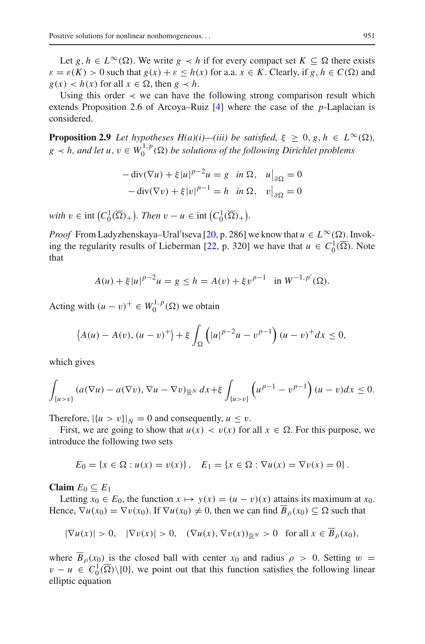Let *g*, *h* ∈ *L*<sup>∞</sup>(Ω). We write *g*  $\prec$  *h* if for every compact set *K* ⊆ Ω there exists  $\varepsilon = \varepsilon(K) > 0$  such that  $g(x) + \varepsilon \leq h(x)$  for a.a.  $x \in K$ . Clearly, if  $g, h \in C(\Omega)$  and  $g(x) < h(x)$  for all  $x \in \Omega$ , then  $g \prec h$ .

Using this order  $\prec$  we can have the following strong comparison result which extends Proposition 2.6 of Arcoya–Ruiz [\[4](#page-33-14)] where the case of the *p*-Laplacian is considered.

<span id="page-6-0"></span>**Proposition 2.9** *Let hypotheses H(a)(i)—(iii) be satisfied,*  $\xi \geq 0, g, h \in L^{\infty}(\Omega)$ ,  $g \lt h$ , and let  $u, v \in W_0^{1,p}(\Omega)$  be solutions of the following Dirichlet problems

$$
-\operatorname{div}(\nabla u) + \xi |u|^{p-2} u = g \quad \text{in } \Omega, \quad u\big|_{\partial\Omega} = 0
$$

$$
-\operatorname{div}(\nabla v) + \xi |v|^{p-1} = h \quad \text{in } \Omega, \quad v\big|_{\partial\Omega} = 0
$$

*with*  $v \in \text{int}\left(C_0^1(\overline{\Omega})_+\right)$ *. Then*  $v - u \in \text{int}\left(C_0^1(\overline{\Omega})_+\right)$ *.* 

*Proof* From Ladyzhenskaya–Ural'tseva [\[20](#page-33-15), p. 286] we know that  $u \in L^{\infty}(\Omega)$ . Invok-ing the regularity results of Lieberman [\[22](#page-33-9), p. 320] we have that  $u \in C_0^1(\overline{\Omega})$ . Note that

$$
A(u) + \xi |u|^{p-2}u = g \le h = A(v) + \xi v^{p-1} \text{ in } W^{-1,p'}(\Omega).
$$

Acting with  $(u - v)^+ \in W_0^{1,p}(\Omega)$  we obtain

$$
\langle A(u) - A(v), (u - v)^+ \rangle + \xi \int_{\Omega} \left( |u|^{p-2}u - v^{p-1} \right) (u - v)^+ dx \le 0,
$$

which gives

$$
\int_{\{u>v\}} (a(\nabla u) - a(\nabla v), \nabla u - \nabla v)_{\mathbb{R}^N} dx + \xi \int_{\{u>v\}} \left( u^{p-1} - v^{p-1} \right) (u-v) dx \le 0.
$$

Therefore,  $|\{u > v\}\|_N = 0$  and consequently,  $u \le v$ .

First, we are going to show that  $u(x) < v(x)$  for all  $x \in \Omega$ . For this purpose, we introduce the following two sets

$$
E_0 = \{x \in \Omega : u(x) = v(x)\}, \quad E_1 = \{x \in \Omega : \nabla u(x) = \nabla v(x) = 0\}.
$$

**Claim**  $E_0 \subseteq E_1$ 

Letting  $x_0 \in E_0$ , the function  $x \mapsto y(x) = (u - v)(x)$  attains its maximum at  $x_0$ . Hence,  $\nabla u(x_0) = \nabla v(x_0)$ . If  $\nabla u(x_0) \neq 0$ , then we can find  $\overline{B}_\rho(x_0) \subseteq \Omega$  such that

$$
|\nabla u(x)| > 0, \quad |\nabla v(x)| > 0, \quad (\nabla u(x), \nabla v(x))_{\mathbb{R}^N} > 0 \quad \text{for all } x \in B_\rho(x_0),
$$

where  $\overline{B}_\rho(x_0)$  is the closed ball with center  $x_0$  and radius  $\rho > 0$ . Setting  $w =$  $v - u \in C_0^1(\overline{\Omega}) \setminus \{0\}$ , we point out that this function satisfies the following linear elliptic equation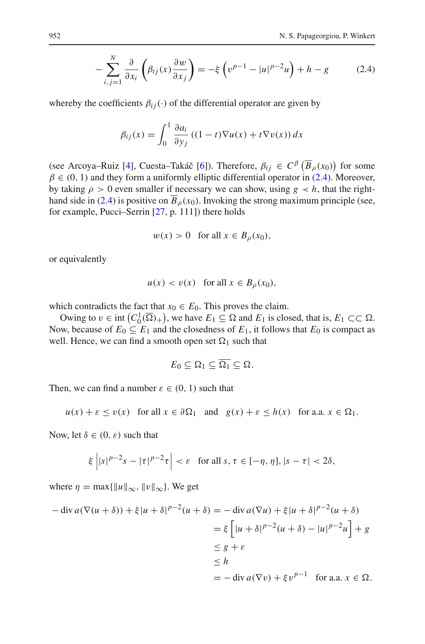$$
-\sum_{i,j=1}^{N} \frac{\partial}{\partial x_i} \left( \beta_{ij}(x) \frac{\partial w}{\partial x_j} \right) = -\xi \left( v^{p-1} - |u|^{p-2} u \right) + h - g \tag{2.4}
$$

whereby the coefficients  $\beta_{ij}(\cdot)$  of the differential operator are given by

<span id="page-7-0"></span>
$$
\beta_{ij}(x) = \int_0^1 \frac{\partial a_i}{\partial y_j} \left( (1 - t) \nabla u(x) + t \nabla v(x) \right) dx
$$

(see Arcoya–Ruiz [\[4\]](#page-33-14), Cuesta–Takáč [\[6\]](#page-33-16)). Therefore,  $\beta_{ij} \in C^{\beta}(\overline{B}_{\rho}(x_0))$  for some  $\beta \in (0, 1)$  and they form a uniformly elliptic differential operator in [\(2.4\)](#page-7-0). Moreover, by taking  $\rho > 0$  even smaller if necessary we can show, using  $g \prec h$ , that the right-hand side in [\(2.4\)](#page-7-0) is positive on  $\overline{B}_0(x_0)$ . Invoking the strong maximum principle (see, for example, Pucci–Serrin [\[27,](#page-34-3) p. 111]) there holds

$$
w(x) > 0 \quad \text{for all } x \in B_{\rho}(x_0),
$$

or equivalently

$$
u(x) < v(x) \quad \text{for all } x \in B_{\rho}(x_0),
$$

which contradicts the fact that  $x_0 \in E_0$ . This proves the claim.

Owing to  $v \in \text{int} (C_0^1(\overline{\Omega})_+)$ , we have  $E_1 \subseteq \Omega$  and  $E_1$  is closed, that is,  $E_1 \subset\subset \Omega$ . Now, because of  $E_0 \subseteq E_1$  and the closedness of  $E_1$ , it follows that  $E_0$  is compact as well. Hence, we can find a smooth open set  $\Omega_1$  such that

$$
E_0\subseteq\Omega_1\subseteq\overline{\Omega_1}\subseteq\Omega.
$$

Then, we can find a number  $\varepsilon \in (0, 1)$  such that

$$
u(x) + \varepsilon \le v(x)
$$
 for all  $x \in \partial \Omega_1$  and  $g(x) + \varepsilon \le h(x)$  for a.a.  $x \in \Omega_1$ .

Now, let  $\delta \in (0, \varepsilon)$  such that

$$
\xi\left||s|^{p-2}s-|\tau|^{p-2}\tau\right|<\varepsilon\quad\text{for all }s,\,\tau\in[-\eta,\eta],\,|s-\tau|<2\delta,
$$

where  $\eta = \max{\{\Vert u \Vert_{\infty}, \Vert v \Vert_{\infty}\}.$  We get

$$
-\operatorname{div} a(\nabla(u+\delta)) + \xi |u+\delta|^{p-2} (u+\delta) = -\operatorname{div} a(\nabla u) + \xi |u+\delta|^{p-2} (u+\delta)
$$
  

$$
= \xi \left[ |u+\delta|^{p-2} (u+\delta) - |u|^{p-2} u \right] + g
$$
  

$$
\leq g + \varepsilon
$$
  

$$
\leq h
$$
  

$$
= -\operatorname{div} a(\nabla v) + \xi v^{p-1} \quad \text{for a.a. } x \in \Omega.
$$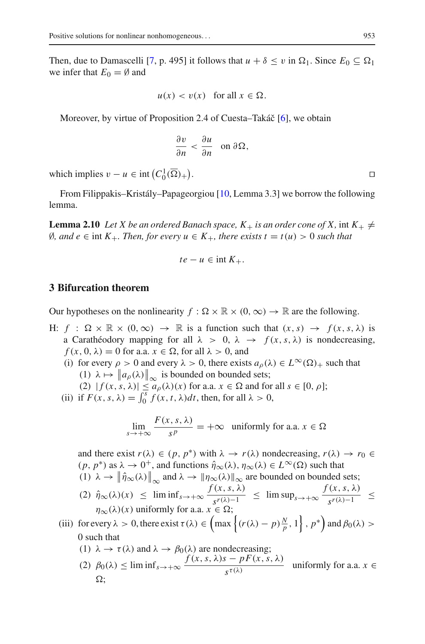Then, due to Damascelli [\[7,](#page-33-17) p. 495] it follows that  $u + \delta \le v$  in  $\Omega_1$ . Since  $E_0 \subseteq \Omega_1$ we infer that  $E_0 = \emptyset$  and

$$
u(x) < v(x) \quad \text{for all } x \in \Omega.
$$

Moreover, by virtue of Proposition 2.4 of Cuesta–Takáč [\[6](#page-33-16)], we obtain

$$
\frac{\partial v}{\partial n} < \frac{\partial u}{\partial n} \quad \text{on } \partial \Omega,
$$

which implies  $v - u \in \text{int}\left(C_0^1(\overline{\Omega})_+\right)$ 

<span id="page-8-0"></span>From Filippakis–Kristály–Papageorgiou [\[10](#page-33-1), Lemma 3.3] we borrow the following lemma.

**Lemma 2.10** *Let X be an ordered Banach space,*  $K_+$  *is an order cone of X, int*  $K_+ \neq$ ∅*, and e* ∈ int *K*+*. Then, for every u* ∈ *K*+*, there exists t* = *t*(*u*) > 0 *such that*

$$
te - u \in \text{int } K_+.
$$

#### **3 Bifurcation theorem**

Our hypotheses on the nonlinearity  $f : \Omega \times \mathbb{R} \times (0, \infty) \to \mathbb{R}$  are the following.

- H:  $f : \Omega \times \mathbb{R} \times (0, \infty) \rightarrow \mathbb{R}$  is a function such that  $(x, s) \rightarrow f(x, s, \lambda)$  is a Carathéodory mapping for all  $\lambda > 0$ ,  $\lambda \rightarrow f(x, s, \lambda)$  is nondecreasing,  $f(x, 0, \lambda) = 0$  for a.a.  $x \in \Omega$ , for all  $\lambda > 0$ , and
	- (i) for every  $\rho > 0$  and every  $\lambda > 0$ , there exists  $a_{\rho}(\lambda) \in L^{\infty}(\Omega)_{+}$  such that (1)  $\lambda \mapsto \|a_{\rho}(\lambda)\|_{\infty}$  is bounded on bounded sets;<br>(2)  $|f(\mu)|_{\infty}$  (1)(v) for e.g.  $\mu \in \mathbb{Q}$  and for
		- (1)  $\kappa \mapsto ||a_{\rho}(\kappa)||_{\infty}$  is bounded on bounded sets,<br>(2)  $|f(x, s, \lambda)| \le a_{\rho}(\lambda)(x)$  for a.a.  $x \in \Omega$  and for all  $s \in [0, \rho]$ ;
	- (ii) if  $F(x, s, \lambda) = \int_0^s f(x, t, \lambda) dt$ , then, for all  $\lambda > 0$ ,

$$
\lim_{s \to +\infty} \frac{F(x, s, \lambda)}{s^p} = +\infty \text{ uniformly for a.a. } x \in \Omega
$$

and there exist  $r(\lambda) \in (p, p^*)$  with  $\lambda \to r(\lambda)$  nondecreasing,  $r(\lambda) \to r_0 \in$  $(p, p^*)$  as  $\lambda \to 0^+$ , and functions  $\hat{\eta}_{\infty}(\lambda), \eta_{\infty}(\lambda) \in L^{\infty}(\Omega)$  such that (1)  $\lambda \to \|\hat{\eta}_{\infty}(\lambda)\|_{\infty}$  and  $\lambda \to \|\eta_{\infty}(\lambda)\|_{\infty}$  are bounded on bounded sets;  $\parallel$ 

- $f(x, s, \lambda)$ <br>  $\left(\frac{2}{\eta} \otimes (\lambda)(x) \right) \leq \liminf_{s \to +\infty} \frac{f(x, s, \lambda)}{s^{r(\lambda)-1}} \leq \limsup_{s \to +\infty} \frac{f(x, s, \lambda)}{s^{r(\lambda)-1}}$  $\frac{\sqrt{s^{r(\lambda)-1}}}{s}$  ≤  $\eta_{\infty}(\lambda)(x)$  uniformly for a.a.  $x \in \Omega$ ;
- (iii) for every  $\lambda > 0$ , there exist  $\tau(\lambda) \in \left( \max \left\{ (r(\lambda) p) \frac{N}{p}, 1 \right\}, p^* \right)$  and  $\beta_0(\lambda) >$ 0 such that
	- (1)  $\lambda \to \tau(\lambda)$  and  $\lambda \to \beta_0(\lambda)$  are nondecreasing;
	- (2)  $\beta_0(\lambda) \le \liminf_{s \to +\infty} \frac{f(x, s, \lambda)s pF(x, s, \lambda)}{s^{\tau(\lambda)}}$  uniformly for a.a.  $x \in$  $\Omega$ :

. **Executive Contract Contract Contract Contract Contract Contract Contract Contract Contract Contract Contract**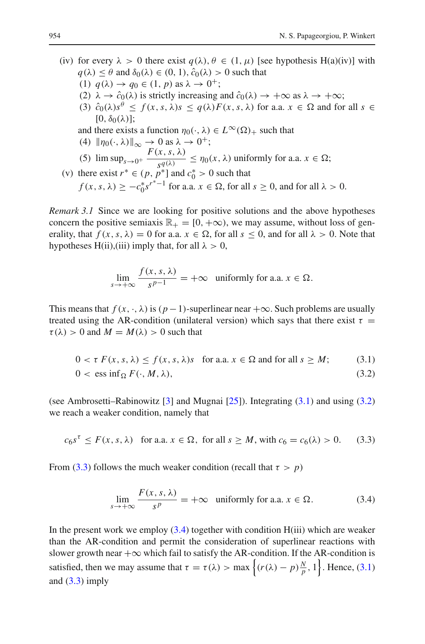- (iv) for every  $\lambda > 0$  there exist  $q(\lambda), \theta \in (1, \mu)$  [see hypothesis H(a)(iv)] with  $q(\lambda) < \theta$  and  $\delta_0(\lambda) \in (0, 1)$ ,  $\hat{c}_0(\lambda) > 0$  such that (1)  $q(\lambda) \rightarrow q_0 \in (1, p)$  as  $\lambda \rightarrow 0^+$ ;
	- (2)  $\lambda \to \hat{c}_0(\lambda)$  is strictly increasing and  $\hat{c}_0(\lambda) \to +\infty$  as  $\lambda \to +\infty$ ;
	- (3)  $\hat{c}_0(\lambda)s^{\theta} \leq f(x, s, \lambda)s \leq q(\lambda)F(x, s, \lambda)$  for a.a.  $x \in \Omega$  and for all  $s \in \Omega$  $[0, \delta_0(\lambda)]$ ;
	- and there exists a function  $\eta_0(\cdot, \lambda) \in L^{\infty}(\Omega)_{+}$  such that (4)  $\|\eta_0(\cdot, \lambda)\|_{\infty} \to 0$  as  $\lambda \to 0^+$ ;

(4) 
$$
\|\eta_0(\cdot,\lambda)\|_{\infty} \to 0 \text{ as } \lambda \to 0^+;
$$

- (5)  $\limsup_{s\to 0^+} \frac{F(x, s, \lambda)}{s^q(\lambda)} \leq \eta_0(x, \lambda)$  uniformly for a.a.  $x \in \Omega$ ;
- (v) there exist  $r^* \in (p, p^*]$  and  $c_0^* > 0$  such that  $f(x, s, \lambda) \ge -c_0^* {s^r}^{-1}$  for a.a.  $x \in \Omega$ , for all  $s \ge 0$ , and for all  $\lambda > 0$ .

*Remark 3.1* Since we are looking for positive solutions and the above hypotheses concern the positive semiaxis  $\mathbb{R}_+ = [0, +\infty)$ , we may assume, without loss of generality, that  $f(x, s, \lambda) = 0$  for a.a.  $x \in \Omega$ , for all  $s \le 0$ , and for all  $\lambda > 0$ . Note that hypotheses H(ii),(iii) imply that, for all  $\lambda > 0$ ,

<span id="page-9-1"></span><span id="page-9-0"></span>
$$
\lim_{s \to +\infty} \frac{f(x, s, \lambda)}{s^{p-1}} = +\infty \quad \text{uniformly for a.a. } x \in \Omega.
$$

This means that  $f(x, \cdot, \lambda)$  is  $(p-1)$ -superlinear near  $+\infty$ . Such problems are usually treated using the AR-condition (unilateral version) which says that there exist  $\tau =$  $\tau(\lambda) > 0$  and  $M = M(\lambda) > 0$  such that

$$
0 < \tau \ F(x, s, \lambda) \le f(x, s, \lambda)s \quad \text{for a.a. } x \in \Omega \text{ and for all } s \ge M; \tag{3.1}
$$
\n
$$
0 < \text{ess inf}_{\Omega} F(\cdot, M, \lambda), \tag{3.2}
$$

(see Ambrosetti–Rabinowitz [\[3](#page-33-7)] and Mugnai [\[25\]](#page-34-4)). Integrating [\(3.1\)](#page-9-0) and using [\(3.2\)](#page-9-1) we reach a weaker condition, namely that

$$
c_6s^{\tau} \le F(x, s, \lambda) \quad \text{for a.a. } x \in \Omega, \text{ for all } s \ge M, \text{ with } c_6 = c_6(\lambda) > 0. \tag{3.3}
$$

From [\(3.3\)](#page-9-2) follows the much weaker condition (recall that  $\tau > p$ )

<span id="page-9-3"></span><span id="page-9-2"></span>
$$
\lim_{s \to +\infty} \frac{F(x, s, \lambda)}{s^p} = +\infty \quad \text{uniformly for a.a. } x \in \Omega. \tag{3.4}
$$

In the present work we employ  $(3.4)$  together with condition  $H(iii)$  which are weaker than the AR-condition and permit the consideration of superlinear reactions with slower growth near  $+\infty$  which fail to satisfy the AR-condition. If the AR-condition is satisfied, then we may assume that  $\tau = \tau(\lambda) > \max \left\{ (r(\lambda) - p) \frac{N}{p}, 1 \right\}$ . Hence, [\(3.1\)](#page-9-0) and  $(3.3)$  imply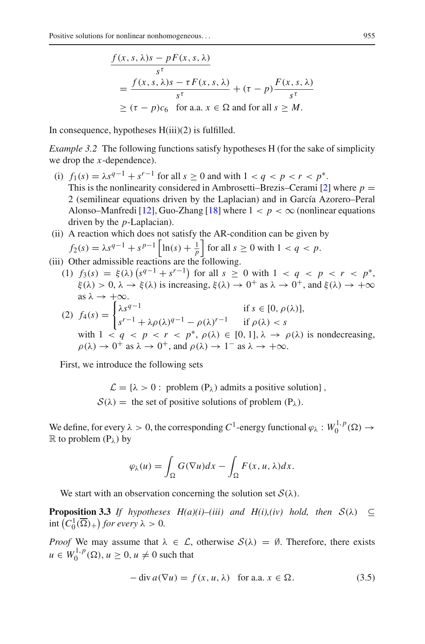$$
\frac{f(x, s, \lambda)s - pF(x, s, \lambda)}{s^{\tau}}
$$
\n
$$
= \frac{f(x, s, \lambda)s - \tau F(x, s, \lambda)}{s^{\tau}} + (\tau - p) \frac{F(x, s, \lambda)}{s^{\tau}}
$$
\n
$$
\geq (\tau - p)c_6 \text{ for a.a. } x \in \Omega \text{ and for all } s \geq M.
$$

In consequence, hypotheses H(iii)(2) is fulfilled.

*Example 3.2* The following functions satisfy hypotheses H (for the sake of simplicity we drop the *x*-dependence).

- (i)  $f_1(s) = \lambda s^{q-1} + s^{r-1}$  for all  $s > 0$  and with  $1 < q < p < r < p^*$ . This is the nonlinearity considered in Ambrosetti–Brezis–Cerami  $[2]$  $[2]$  where  $p =$ 2 (semilinear equations driven by the Laplacian) and in García Azorero–Peral Alonso–Manfredi [\[12\]](#page-33-4), Guo-Zhang [\[18](#page-33-5)] where  $1 < p < \infty$  (nonlinear equations driven by the *p*-Laplacian).
- (ii) A reaction which does not satisfy the AR-condition can be given by  $f_2(s) = \lambda s^{q-1} + s^{p-1} \left| \ln(s) + \frac{1}{p} \right|$  for all  $s \ge 0$  with  $1 < q < p$ .
- (iii) Other admissible reactions are the following.
	- (1)  $f_3(s) = \xi(\lambda) \left( s^{q-1} + s^{r-1} \right)$  for all  $s \ge 0$  with  $1 < q < p < r < p^*$ ,  $\xi(\lambda) > 0, \lambda \to \xi(\lambda)$  is increasing,  $\xi(\lambda) \to 0^+$  as  $\lambda \to 0^+$ , and  $\xi(\lambda) \to +\infty$ <br>as  $\lambda \to +\infty$ . as  $\lambda \to +\infty$ . (2) *f*4(*s*) =  $\int \lambda s^{q-1}$  if  $s \in [0, \rho(\lambda)],$  $s^{r-1} + \lambda \rho(\lambda)^{q-1} - \rho(\lambda)^{r-1}$  if  $\rho(\lambda) < s$ with  $1 < q < p < r < p^*$ ,  $\rho(\lambda) \in [0, 1]$ ,  $\lambda \to \rho(\lambda)$  is nondecreasing,  $\rho(\lambda) \to 0^+$  as  $\lambda \to 0^+$ , and  $\rho(\lambda) \to 1^-$  as  $\lambda \to +\infty$ .

First, we introduce the following sets

 $\mathcal{L} = \{\lambda > 0 : \text{ problem } (P_{\lambda}) \text{ admits a positive solution}\},$  $S(\lambda)$  = the set of positive solutions of problem  $(P_{\lambda})$ .

We define, for every  $\lambda > 0$ , the corresponding  $C^1$ -energy functional  $\varphi_\lambda : W_0^{1,p}(\Omega) \to$  $\mathbb R$  to problem  $(P_\lambda)$  by

$$
\varphi_{\lambda}(u) = \int_{\Omega} G(\nabla u) dx - \int_{\Omega} F(x, u, \lambda) dx.
$$

We start with an observation concerning the solution set  $S(\lambda)$ .

<span id="page-10-1"></span>**Proposition 3.3** *If hypotheses*  $H(a)(i)$ –(*iii)* and  $H(i)$ ,(*iv)* hold, then  $S(\lambda) \subseteq$  $\text{int}\left(C_0^1(\overline{\Omega})_+\right)$  for every  $\lambda > 0$ .

*Proof* We may assume that  $\lambda \in \mathcal{L}$ , otherwise  $\mathcal{S}(\lambda) = \emptyset$ . Therefore, there exists  $u \in W_0^{1,p}(\Omega)$ ,  $u \geq 0$ ,  $u \neq 0$  such that

<span id="page-10-0"></span>
$$
-\operatorname{div} a(\nabla u) = f(x, u, \lambda) \quad \text{for a.a. } x \in \Omega. \tag{3.5}
$$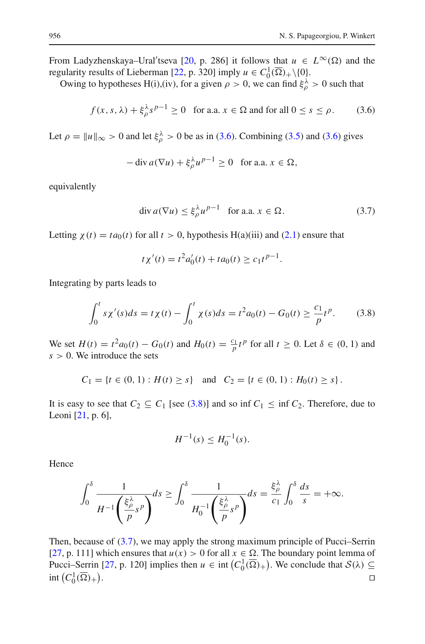From Ladyzhenskaya–Ural'tseva [\[20](#page-33-15), p. 286] it follows that  $u \in L^{\infty}(\Omega)$  and the regularity results of Lieberman [\[22](#page-33-9), p. 320] imply  $u \in C_0^1(\overline{\Omega})_+\setminus\{0\}.$ 

Owing to hypotheses H(i),(iv), for a given  $\rho > 0$ , we can find  $\xi_{\rho}^{\lambda} > 0$  such that

$$
f(x, s, \lambda) + \xi_{\rho}^{\lambda} s^{\rho - 1} \ge 0 \quad \text{for a.a. } x \in \Omega \text{ and for all } 0 \le s \le \rho. \tag{3.6}
$$

Let  $\rho = ||u||_{\infty} > 0$  and let  $\xi_{\rho}^{\lambda} > 0$  be as in [\(3.6\)](#page-11-0). Combining [\(3.5\)](#page-10-0) and (3.6) gives

<span id="page-11-0"></span>
$$
-\operatorname{div} a(\nabla u) + \xi_{\rho}^{\lambda} u^{p-1} \ge 0 \quad \text{for a.a. } x \in \Omega,
$$

equivalently

<span id="page-11-2"></span>
$$
\operatorname{div} a(\nabla u) \le \xi_{\rho}^{\lambda} u^{p-1} \quad \text{for a.a. } x \in \Omega. \tag{3.7}
$$

Letting  $\chi(t) = ta_0(t)$  for all  $t > 0$ , hypothesis H(a)(iii) and [\(2.1\)](#page-3-0) ensure that

<span id="page-11-1"></span>
$$
t\chi'(t) = t^2 a'_0(t) + t a_0(t) \ge c_1 t^{p-1}.
$$

Integrating by parts leads to

$$
\int_0^t s\chi'(s)ds = t\chi(t) - \int_0^t \chi(s)ds = t^2 a_0(t) - G_0(t) \ge \frac{c_1}{p}t^p. \tag{3.8}
$$

We set *H*(*t*) = *t*<sup>2</sup>*a*<sub>0</sub>(*t*) − *G*<sub>0</sub>(*t*) and *H*<sub>0</sub>(*t*) =  $\frac{c_1}{p}$ *t*<sup>*p*</sup> for all *t* ≥ 0. Let  $\delta \in (0, 1)$  and *s* > 0. We introduce the sets

$$
C_1 = \{ t \in (0, 1) : H(t) \ge s \} \text{ and } C_2 = \{ t \in (0, 1) : H_0(t) \ge s \}.
$$

It is easy to see that  $C_2 \subseteq C_1$  [see [\(3.8\)](#page-11-1)] and so inf  $C_1 \leq \inf C_2$ . Therefore, due to Leoni [\[21,](#page-33-18) p. 6],

$$
H^{-1}(s) \le H_0^{-1}(s).
$$

Hence

$$
\int_0^\delta \frac{1}{H^{-1}\left(\frac{\xi_\rho^\lambda}{p} s^p\right)} ds \ge \int_0^\delta \frac{1}{H_0^{-1}\left(\frac{\xi_\rho^\lambda}{p} s^p\right)} ds = \frac{\xi_\rho^\lambda}{c_1} \int_0^\delta \frac{ds}{s} = +\infty.
$$

<span id="page-11-3"></span>Then, because of [\(3.7\)](#page-11-2), we may apply the strong maximum principle of Pucci–Serrin [\[27](#page-34-3), p. 111] which ensures that  $u(x) > 0$  for all  $x \in \Omega$ . The boundary point lemma of Pucci–Serrin [\[27](#page-34-3), p. 120] implies then  $u \in \text{int}\left(C_0^1(\overline{\Omega})_+\right)$ . We conclude that  $\mathcal{S}(\lambda) \subseteq$ int  $(C_0^1(\overline{\Omega})_+)$ .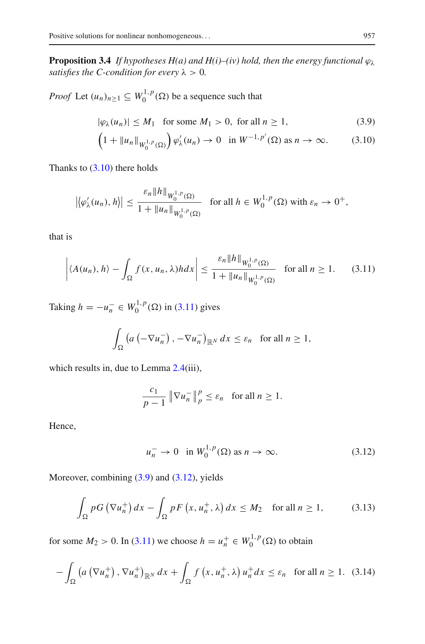**Proposition 3.4** *If hypotheses H(a) and H(i)–(iv) hold, then the energy functional*  $\varphi_{\lambda}$ *satisfies the C-condition for every*  $\lambda > 0$ *.* 

*Proof* Let  $(u_n)_{n \geq 1} \subseteq W_0^{1,p}(\Omega)$  be a sequence such that

<span id="page-12-2"></span>
$$
|\varphi_{\lambda}(u_n)| \le M_1 \quad \text{for some } M_1 > 0, \text{ for all } n \ge 1,
$$
 (3.9)

<span id="page-12-0"></span>
$$
\left(1+\|u_n\|_{W_0^{1,p}(\Omega)}\right)\varphi_\lambda'(u_n)\to 0 \quad \text{in } W^{-1,p'}(\Omega) \text{ as } n\to\infty. \tag{3.10}
$$

Thanks to  $(3.10)$  there holds

$$
\left|\left\langle \varphi_{\lambda}'(u_n), h\right\rangle\right| \leq \frac{\varepsilon_n \|h\|_{W_0^{1,p}(\Omega)}}{1 + \|u_n\|_{W_0^{1,p}(\Omega)}} \quad \text{for all } h \in W_0^{1,p}(\Omega) \text{ with } \varepsilon_n \to 0^+,
$$

that is

$$
\left| \langle A(u_n), h \rangle - \int_{\Omega} f(x, u_n, \lambda) h dx \right| \le \frac{\varepsilon_n \|h\|_{W_0^{1, p}(\Omega)}}{1 + \|u_n\|_{W_0^{1, p}(\Omega)}} \quad \text{for all } n \ge 1. \tag{3.11}
$$

Taking  $h = -u_n^- \in W_0^{1,p}(\Omega)$  in [\(3.11\)](#page-12-1) gives

<span id="page-12-1"></span>
$$
\int_{\Omega} \left( a\left( -\nabla u_n^{-} \right), -\nabla u_n^{-} \right)_{\mathbb{R}^N} dx \leq \varepsilon_n \quad \text{for all } n \geq 1,
$$

which results in, due to Lemma [2.4\(](#page-4-1)iii),

$$
\frac{c_1}{p-1} \|\nabla u_n^-\|_p^p \le \varepsilon_n \quad \text{for all } n \ge 1.
$$

Hence,

<span id="page-12-5"></span><span id="page-12-4"></span><span id="page-12-3"></span>
$$
u_n^- \to 0 \quad \text{in } W_0^{1,p}(\Omega) \text{ as } n \to \infty. \tag{3.12}
$$

Moreover, combining [\(3.9\)](#page-12-2) and [\(3.12\)](#page-12-3), yields

$$
\int_{\Omega} pG\left(\nabla u_n^+\right)dx - \int_{\Omega} pF\left(x, u_n^+, \lambda\right)dx \le M_2 \quad \text{for all } n \ge 1,
$$
 (3.13)

for some  $M_2 > 0$ . In [\(3.11\)](#page-12-1) we choose  $h = u_n^+ \in W_0^{1,p}(\Omega)$  to obtain

$$
-\int_{\Omega} \left( a\left(\nabla u_n^+\right), \nabla u_n^+\right)_{\mathbb{R}^N} dx + \int_{\Omega} f\left(x, u_n^+, \lambda\right) u_n^+ dx \le \varepsilon_n \quad \text{for all } n \ge 1. \tag{3.14}
$$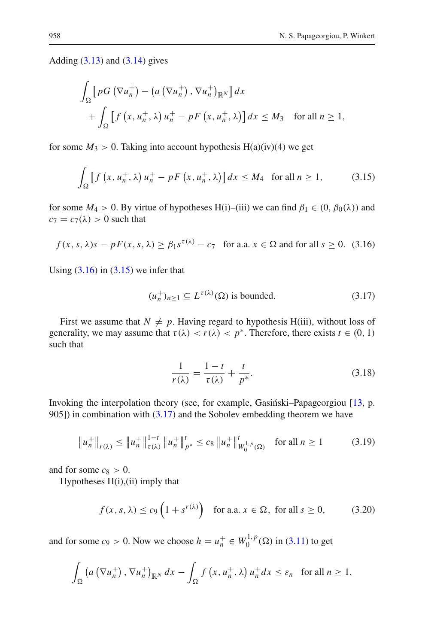Adding  $(3.13)$  and  $(3.14)$  gives

$$
\int_{\Omega} \left[ pG\left(\nabla u_n^+\right) - \left(a\left(\nabla u_n^+\right), \nabla u_n^+\right)_{\mathbb{R}^N} \right] dx
$$
\n
$$
+ \int_{\Omega} \left[ f\left(x, u_n^+, \lambda\right) u_n^+ - pF\left(x, u_n^+, \lambda\right) \right] dx \leq M_3 \quad \text{for all } n \geq 1,
$$

for some  $M_3 > 0$ . Taking into account hypothesis H(a)(iv)(4) we get

$$
\int_{\Omega} \left[ f \left( x, u_n^+, \lambda \right) u_n^+ - p F \left( x, u_n^+, \lambda \right) \right] dx \le M_4 \quad \text{for all } n \ge 1,
$$
 (3.15)

for some  $M_4 > 0$ . By virtue of hypotheses H(i)–(iii) we can find  $\beta_1 \in (0, \beta_0(\lambda))$  and  $c_7 = c_7(\lambda) > 0$  such that

$$
f(x, s, \lambda)s - pF(x, s, \lambda) \ge \beta_1 s^{\tau(\lambda)} - c_7 \quad \text{for a.a. } x \in \Omega \text{ and for all } s \ge 0. \tag{3.16}
$$

Using  $(3.16)$  in  $(3.15)$  we infer that

<span id="page-13-2"></span><span id="page-13-1"></span><span id="page-13-0"></span>
$$
(u_n^+)_{n\geq 1} \subseteq L^{\tau(\lambda)}(\Omega) \text{ is bounded.}
$$
 (3.17)

First we assume that  $N \neq p$ . Having regard to hypothesis H(iii), without loss of generality, we may assume that  $\tau(\lambda) < r(\lambda) < p^*$ . Therefore, there exists  $t \in (0, 1)$ such that

<span id="page-13-5"></span><span id="page-13-4"></span><span id="page-13-3"></span>
$$
\frac{1}{r(\lambda)} = \frac{1-t}{\tau(\lambda)} + \frac{t}{p^*}.
$$
\n(3.18)

Invoking the interpolation theory (see, for example, Gasiński–Papageorgiou  $[13, p$  $[13, p$ . 905]) in combination with  $(3.17)$  and the Sobolev embedding theorem we have

$$
\|u_n^+\|_{r(\lambda)} \le \|u_n^+\|_{\tau(\lambda)}^{1-t} \|u_n^+\|_{p^*}^t \le c_8 \|u_n^+\|_{W_0^{1,p}(\Omega)}^t \quad \text{for all } n \ge 1 \tag{3.19}
$$

and for some  $c_8 > 0$ .

Hypotheses H(i),(ii) imply that

$$
f(x, s, \lambda) \le c_9 \left( 1 + s^{r(\lambda)} \right) \quad \text{for a.a. } x \in \Omega, \text{ for all } s \ge 0,
$$
 (3.20)

and for some *c*<sub>9</sub> > 0. Now we choose  $h = u_n^+ \in W_0^{1,p}(\Omega)$  in [\(3.11\)](#page-12-1) to get

$$
\int_{\Omega} \left( a\left(\nabla u_n^+\right), \nabla u_n^+\right)_{\mathbb{R}^N} dx - \int_{\Omega} f\left(x, u_n^+, \lambda\right) u_n^+ dx \leq \varepsilon_n \quad \text{for all } n \geq 1.
$$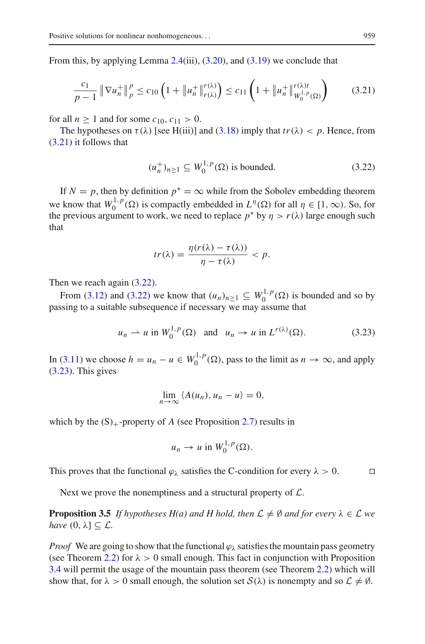From this, by applying Lemma  $2.4(iii)$  $2.4(iii)$ ,  $(3.20)$ , and  $(3.19)$  we conclude that

$$
\frac{c_1}{p-1} \left\| \nabla u_n^+ \right\|_p^p \le c_{10} \left( 1 + \left\| u_n^+ \right\|_{r(\lambda)}^{r(\lambda)} \right) \le c_{11} \left( 1 + \left\| u_n^+ \right\|_{W_0^{1,p}(\Omega)}^{r(\lambda)t} \right) \tag{3.21}
$$

for all  $n \ge 1$  and for some  $c_{10}$ ,  $c_{11} > 0$ .

The hypotheses on  $\tau(\lambda)$  [see H(iii)] and [\(3.18\)](#page-13-5) imply that  $tr(\lambda) < p$ . Hence, from [\(3.21\)](#page-14-0) it follows that

<span id="page-14-1"></span><span id="page-14-0"></span>
$$
(u_n^+ )_{n \ge 1} \subseteq W_0^{1,p}(\Omega) \text{ is bounded.}
$$
 (3.22)

If  $N = p$ , then by definition  $p^* = \infty$  while from the Sobolev embedding theorem we know that  $W_0^{1,p}(\Omega)$  is compactly embedded in  $L^{\eta}(\Omega)$  for all  $\eta \in [1,\infty)$ . So, for the previous argument to work, we need to replace  $p^*$  by  $\eta > r(\lambda)$  large enough such that

$$
tr(\lambda) = \frac{\eta(r(\lambda) - \tau(\lambda))}{\eta - \tau(\lambda)} < p.
$$

Then we reach again  $(3.22)$ .

From [\(3.12\)](#page-12-3) and [\(3.22\)](#page-14-1) we know that  $(u_n)_{n \geq 1} \subseteq W_0^{1,p}(\Omega)$  is bounded and so by passing to a suitable subsequence if necessary we may assume that

$$
u_n \rightharpoonup u
$$
 in  $W_0^{1,p}(\Omega)$  and  $u_n \rightharpoonup u$  in  $L^{r(\lambda)}(\Omega)$ . (3.23)

In [\(3.11\)](#page-12-1) we choose  $h = u_n - u \in W_0^{1,p}(\Omega)$ , pass to the limit as  $n \to \infty$ , and apply [\(3.23\)](#page-14-2). This gives

<span id="page-14-2"></span>
$$
\lim_{n\to\infty}\langle A(u_n),u_n-u\rangle=0,
$$

which by the  $(S)_{+}$ -property of *A* (see Proposition [2.7\)](#page-5-1) results in

$$
u_n \to u \text{ in } W_0^{1,p}(\Omega).
$$

This proves that the functional  $\varphi_{\lambda}$  satisfies the C-condition for every  $\lambda > 0$ .

Next we prove the nonemptiness and a structural property of *L*.

<span id="page-14-3"></span>**Proposition 3.5** *If hypotheses H(a) and H hold, then*  $\mathcal{L} \neq \emptyset$  *and for every*  $\lambda \in \mathcal{L}$  *we have*  $(0, \lambda] \subset \mathcal{L}$ *.* 

*Proof* We are going to show that the functional  $\varphi_{\lambda}$  satisfies the mountain pass geometry (see Theorem [2.2\)](#page-2-0) for  $\lambda > 0$  small enough. This fact in conjunction with Proposition [3.4](#page-11-3) will permit the usage of the mountain pass theorem (see Theorem [2.2\)](#page-2-0) which will show that, for  $\lambda > 0$  small enough, the solution set  $S(\lambda)$  is nonempty and so  $\mathcal{L} \neq \emptyset$ .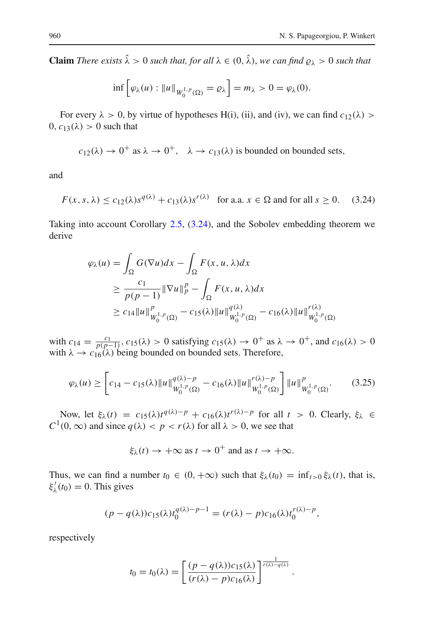**Claim** *There exists*  $\hat{\lambda} > 0$  *such that, for all*  $\lambda \in (0, \hat{\lambda})$ *, we can find*  $\rho_{\lambda} > 0$  *such that* 

<span id="page-15-0"></span>
$$
\inf \left[ \varphi_{\lambda}(u) : \|u\|_{W_0^{1,p}(\Omega)} = \varrho_{\lambda} \right] = m_{\lambda} > 0 = \varphi_{\lambda}(0).
$$

For every  $\lambda > 0$ , by virtue of hypotheses H(i), (ii), and (iv), we can find  $c_{12}(\lambda) >$  $0, c_{13}(\lambda) > 0$  such that

$$
c_{12}(\lambda) \rightarrow 0^+
$$
 as  $\lambda \rightarrow 0^+$ ,  $\lambda \rightarrow c_{13}(\lambda)$  is bounded on bounded sets,

and

$$
F(x, s, \lambda) \le c_{12}(\lambda)s^{q(\lambda)} + c_{13}(\lambda)s^{r(\lambda)} \quad \text{for a.a. } x \in \Omega \text{ and for all } s \ge 0. \tag{3.24}
$$

Taking into account Corollary [2.5,](#page-4-2) [\(3.24\)](#page-15-0), and the Sobolev embedding theorem we derive

$$
\varphi_{\lambda}(u) = \int_{\Omega} G(\nabla u) dx - \int_{\Omega} F(x, u, \lambda) dx
$$
  
\n
$$
\geq \frac{c_1}{p(p-1)} \|\nabla u\|_p^p - \int_{\Omega} F(x, u, \lambda) dx
$$
  
\n
$$
\geq c_{14} \|u\|_{W_0^{1,p}(\Omega)}^p - c_{15}(\lambda) \|u\|_{W_0^{1,p}(\Omega)}^{q(\lambda)} - c_{16}(\lambda) \|u\|_{W_0^{1,p}(\Omega)}^{r(\lambda)}
$$

with  $c_{14} = \frac{c_1}{p(p-1)}$ ,  $c_{15}(\lambda) > 0$  satisfying  $c_{15}(\lambda) \to 0^+$  as  $\lambda \to 0^+$ , and  $c_{16}(\lambda) > 0$ with  $\lambda \rightarrow c_{16}(\lambda)$  being bounded on bounded sets. Therefore,

$$
\varphi_{\lambda}(u) \ge \left[c_{14} - c_{15}(\lambda) \|u\|_{W_0^{1,p}(\Omega)}^{q(\lambda)-p} - c_{16}(\lambda) \|u\|_{W_0^{1,p}(\Omega)}^{r(\lambda)-p} \right] \|u\|_{W_0^{1,p}(\Omega)}^p. \tag{3.25}
$$

Now, let  $\xi_{\lambda}(t) = c_{15}(\lambda)t^{q(\lambda)-p} + c_{16}(\lambda)t^{r(\lambda)-p}$  for all  $t > 0$ . Clearly,  $\xi_{\lambda} \in$  $C^1(0, \infty)$  and since  $q(\lambda) < p < r(\lambda)$  for all  $\lambda > 0$ , we see that

<span id="page-15-1"></span>
$$
\xi_{\lambda}(t) \rightarrow +\infty \text{ as } t \rightarrow 0^+
$$
 and as  $t \rightarrow +\infty$ .

Thus, we can find a number  $t_0 \in (0, +\infty)$  such that  $\xi_\lambda(t_0) = \inf_{t>0} \xi_\lambda(t)$ , that is,  $\xi'_{\lambda}(t_0) = 0$ . This gives

$$
(p-q(\lambda))c_{15}(\lambda)t_0^{q(\lambda)-p-1} = (r(\lambda)-p)c_{16}(\lambda)t_0^{r(\lambda)-p},
$$

respectively

$$
t_0 = t_0(\lambda) = \left[ \frac{(p - q(\lambda))c_{15}(\lambda)}{(r(\lambda) - p)c_{16}(\lambda)} \right]^{\frac{1}{r(\lambda) - q(\lambda)}}
$$

.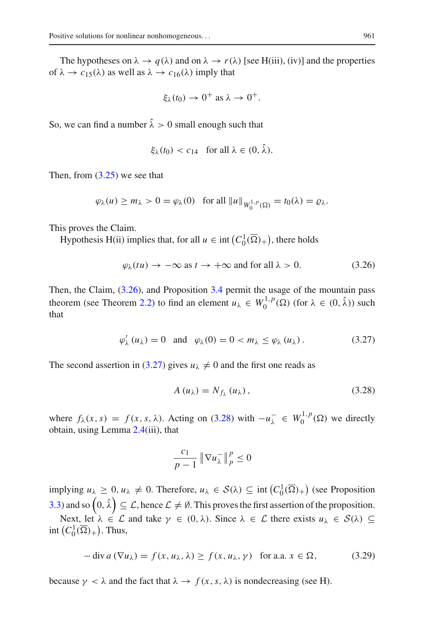The hypotheses on  $\lambda \to q(\lambda)$  and on  $\lambda \to r(\lambda)$  [see H(iii), (iv)] and the properties of  $\lambda \to c_{15}(\lambda)$  as well as  $\lambda \to c_{16}(\lambda)$  imply that

$$
\xi_{\lambda}(t_0) \to 0^+ \text{ as } \lambda \to 0^+.
$$

So, we can find a number  $\hat{\lambda} > 0$  small enough such that

$$
\xi_{\lambda}(t_0) < c_{14} \quad \text{for all } \lambda \in (0, \lambda).
$$

Then, from  $(3.25)$  we see that

$$
\varphi_{\lambda}(u) \ge m_{\lambda} > 0 = \varphi_{\lambda}(0) \quad \text{for all } \|u\|_{W_0^{1,p}(\Omega)} = t_0(\lambda) = \varrho_{\lambda}.
$$

This proves the Claim.

Hypothesis H(ii) implies that, for all  $u \in \text{int}(C_0^1(\overline{\Omega})_+)$ , there holds

<span id="page-16-0"></span>
$$
\varphi_{\lambda}(tu) \to -\infty \text{ as } t \to +\infty \text{ and for all } \lambda > 0. \tag{3.26}
$$

Then, the Claim, [\(3.26\)](#page-16-0), and Proposition [3.4](#page-11-3) permit the usage of the mountain pass theorem (see Theorem [2.2\)](#page-2-0) to find an element  $u_{\lambda} \in W_0^{1,p}(\Omega)$  (for  $\lambda \in (0, \hat{\lambda})$ ) such that

$$
\varphi_{\lambda}'(u_{\lambda}) = 0 \quad \text{and} \quad \varphi_{\lambda}(0) = 0 < m_{\lambda} \leq \varphi_{\lambda}(u_{\lambda}). \tag{3.27}
$$

The second assertion in [\(3.27\)](#page-16-1) gives  $u_{\lambda} \neq 0$  and the first one reads as

<span id="page-16-2"></span><span id="page-16-1"></span>
$$
A(u_{\lambda}) = N_{f_{\lambda}}(u_{\lambda}), \qquad (3.28)
$$

where  $f_{\lambda}(x, s) = f(x, s, \lambda)$ . Acting on [\(3.28\)](#page-16-2) with  $-u_{\lambda}^{-} \in W_0^{1, p}(\Omega)$  we directly obtain, using Lemma [2.4\(](#page-4-1)iii), that

<span id="page-16-3"></span>
$$
\frac{c_1}{p-1} \left\| \nabla u_{\lambda}^{-} \right\|_{p}^{p} \le 0
$$

implying  $u_{\lambda} \geq 0$ ,  $u_{\lambda} \neq 0$ . Therefore,  $u_{\lambda} \in S(\lambda) \subseteq \text{int}\left(C_0^1(\overline{\Omega})_+\right)$  (see Proposition [3.3\)](#page-10-1) and so  $\left(0,\hat{\lambda}\right)\subseteq\mathcal{L}$ , hence  $\mathcal{L}\neq\emptyset$ . This proves the first assertion of the proposition.

Next, let  $\lambda \in \mathcal{L}$  and take  $\gamma \in (0, \lambda)$ . Since  $\lambda \in \mathcal{L}$  there exists  $u_{\lambda} \in \mathcal{S}(\lambda) \subseteq$ int  $(C_0^1(\overline{\Omega})_+)$ . Thus,

$$
-\operatorname{div} a\left(\nabla u_{\lambda}\right) = f(x, u_{\lambda}, \lambda) \ge f(x, u_{\lambda}, \gamma) \quad \text{for a.a. } x \in \Omega,
$$
 (3.29)

because  $\gamma < \lambda$  and the fact that  $\lambda \to f(x, s, \lambda)$  is nondecreasing (see H).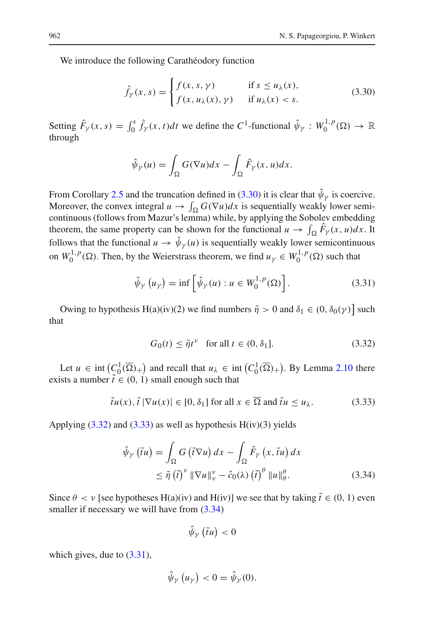We introduce the following Carathéodory function

<span id="page-17-0"></span>
$$
\hat{f}_{\gamma}(x,s) = \begin{cases} f(x,s,\gamma) & \text{if } s \le u_{\lambda}(x), \\ f(x,u_{\lambda}(x),\gamma) & \text{if } u_{\lambda}(x) < s. \end{cases}
$$
\n(3.30)

Setting  $\hat{F}_{\gamma}(x, s) = \int_0^s \hat{f}_{\gamma}(x, t) dt$  we define the  $C^1$ -functional  $\hat{\psi}_{\gamma}: W_0^{1, p}(\Omega) \to \mathbb{R}$ through

$$
\hat{\psi}_\gamma(u) = \int_{\Omega} G(\nabla u) dx - \int_{\Omega} \hat{F}_\gamma(x, u) dx.
$$

From Corollary [2.5](#page-4-2) and the truncation defined in [\(3.30\)](#page-17-0) it is clear that  $\hat{\psi}_{\nu}$  is coercive. Moreover, the convex integral  $u \to \int_{\Omega} G(\nabla u) dx$  is sequentially weakly lower semicontinuous (follows from Mazur's lemma) while, by applying the Sobolev embedding theorem, the same property can be shown for the functional  $u \to \int_{\Omega} F_{\gamma}(x, u) dx$ . It follows that the functional  $u \to \hat{\psi}_{\gamma}(u)$  is sequentially weakly lower semicontinuous on  $W_0^{1,p}(\Omega)$ . Then, by the Weierstrass theorem, we find  $u_\gamma \in W_0^{1,p}(\Omega)$  such that

$$
\hat{\psi}_{\gamma}\left(u_{\gamma}\right) = \inf\left[\hat{\psi}_{\gamma}(u) : u \in W_0^{1,p}(\Omega)\right].\tag{3.31}
$$

Owing to hypothesis H(a)(iv)(2) we find numbers  $\tilde{\eta} > 0$  and  $\delta_1 \in (0, \delta_0(\gamma))$  such that

<span id="page-17-4"></span><span id="page-17-2"></span><span id="page-17-1"></span>
$$
G_0(t) \le \tilde{\eta}t^{\nu} \quad \text{for all } t \in (0, \delta_1]. \tag{3.32}
$$

Let  $u \in \text{int}\left(C_0^1(\overline{\Omega})_+\right)$  and recall that  $u_\lambda \in \text{int}\left(C_0^1(\overline{\Omega})_+\right)$ . By Lemma [2.10](#page-8-0) there exists a number  $\tilde{t} \in (0, 1)$  small enough such that

$$
\tilde{t}u(x), \tilde{t} \, |\nabla u(x)| \in [0, \delta_1] \text{ for all } x \in \overline{\Omega} \text{ and } \tilde{t}u \le u_\lambda. \tag{3.33}
$$

Applying  $(3.32)$  and  $(3.33)$  as well as hypothesis  $H(iv)(3)$  yields

$$
\hat{\psi}_{\gamma}(\tilde{t}u) = \int_{\Omega} G(\tilde{t}\nabla u) dx - \int_{\Omega} \hat{F}_{\gamma}(x, \tilde{t}u) dx
$$
  

$$
\leq \tilde{\eta}(\tilde{t})^{\nu} \|\nabla u\|_{\nu}^{\nu} - \hat{c}_0(\lambda) (\tilde{t})^{\theta} \|u\|_{\theta}^{\theta}.
$$
 (3.34)

Since  $\theta < v$  [see hypotheses H(a)(iv) and H(iv)] we see that by taking  $\tilde{t} \in (0, 1)$  even smaller if necessary we will have from  $(3.34)$ 

<span id="page-17-3"></span>
$$
\hat{\psi}_{\gamma}\left(\tilde{t}u\right)<0
$$

which gives, due to  $(3.31)$ ,

$$
\hat{\psi}_{\gamma}\left(u_{\gamma}\right) < 0 = \hat{\psi}_{\gamma}(0).
$$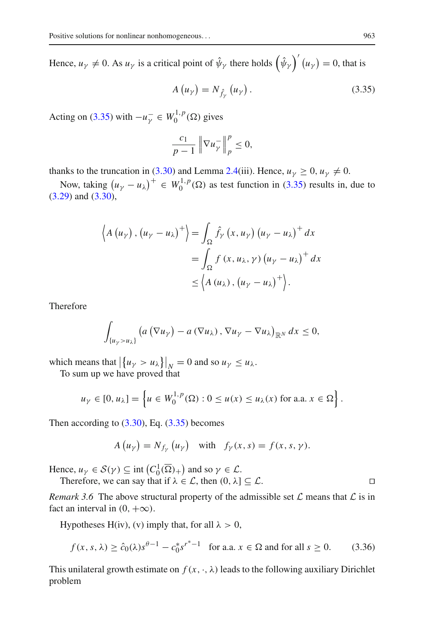Hence,  $u_{\gamma} \neq 0$ . As  $u_{\gamma}$  is a critical point of  $\hat{\psi}_{\gamma}$  there holds  $(\hat{\psi}_{\gamma})^{'}(u_{\gamma}) = 0$ , that is

<span id="page-18-0"></span>
$$
A\left(u_{\gamma}\right) = N_{\hat{f}_{\gamma}}\left(u_{\gamma}\right). \tag{3.35}
$$

Acting on [\(3.35\)](#page-18-0) with  $-u_{\gamma}^{-} \in W_0^{1,p}(\Omega)$  gives

$$
\frac{c_1}{p-1}\left\|\nabla u_{\gamma}^-\right\|_p^p\leq 0,
$$

thanks to the truncation in [\(3.30\)](#page-17-0) and Lemma [2.4\(](#page-4-1)iii). Hence,  $u_y > 0$ ,  $u_y \neq 0$ .

Now, taking  $(u_\gamma - u_\lambda)^+ \in W_0^{1,p}(\Omega)$  as test function in [\(3.35\)](#page-18-0) results in, due to [\(3.29\)](#page-16-3) and [\(3.30\)](#page-17-0),

$$
\left\langle A\left(u_{\gamma}\right),\left(u_{\gamma}-u_{\lambda}\right)^{+}\right\rangle = \int_{\Omega} \hat{f}_{\gamma}\left(x,u_{\gamma}\right)\left(u_{\gamma}-u_{\lambda}\right)^{+} dx
$$

$$
= \int_{\Omega} f\left(x,u_{\lambda},\gamma\right)\left(u_{\gamma}-u_{\lambda}\right)^{+} dx
$$

$$
\leq \left\langle A\left(u_{\lambda}\right),\left(u_{\gamma}-u_{\lambda}\right)^{+}\right\rangle.
$$

Therefore

$$
\int_{\{u_{\gamma}>u_{\lambda}\}}\left(a\left(\nabla u_{\gamma}\right)-a\left(\nabla u_{\lambda}\right),\nabla u_{\gamma}-\nabla u_{\lambda}\right)_{\mathbb{R}^{N}}dx\leq0,
$$

which means that  $\left|\left\{u_{\gamma} > u_{\lambda}\right\}\right|_{N} = 0$  and so  $u_{\gamma} \leq u_{\lambda}$ .

To sum up we have proved that

$$
u_{\gamma} \in [0, u_{\lambda}] = \left\{ u \in W_0^{1, p}(\Omega) : 0 \le u(x) \le u_{\lambda}(x) \text{ for a.a. } x \in \Omega \right\}.
$$

Then according to  $(3.30)$ , Eq.  $(3.35)$  becomes

<span id="page-18-1"></span>
$$
A(u_{\gamma}) = N_{f_{\gamma}}(u_{\gamma}) \quad \text{with} \quad f_{\gamma}(x,s) = f(x,s,\gamma).
$$

Hence,  $u_{\gamma} \in S(\gamma) \subseteq \text{int}\left(C_0^1(\overline{\Omega})_+\right)$  and so  $\gamma \in \mathcal{L}$ .

Therefore, we can say that if  $\lambda \in \mathcal{L}$ , then  $(0, \lambda] \subseteq \mathcal{L}$ .

*Remark 3.6* The above structural property of the admissible set  $\mathcal L$  means that  $\mathcal L$  is in fact an interval in  $(0, +\infty)$ .

Hypotheses H(iv), (v) imply that, for all  $\lambda > 0$ ,

$$
f(x, s, \lambda) \ge \hat{c}_0(\lambda) s^{\theta - 1} - c_0^* s^{r^* - 1} \quad \text{for a.a. } x \in \Omega \text{ and for all } s \ge 0. \tag{3.36}
$$

This unilateral growth estimate on  $f(x, \cdot, \lambda)$  leads to the following auxiliary Dirichlet problem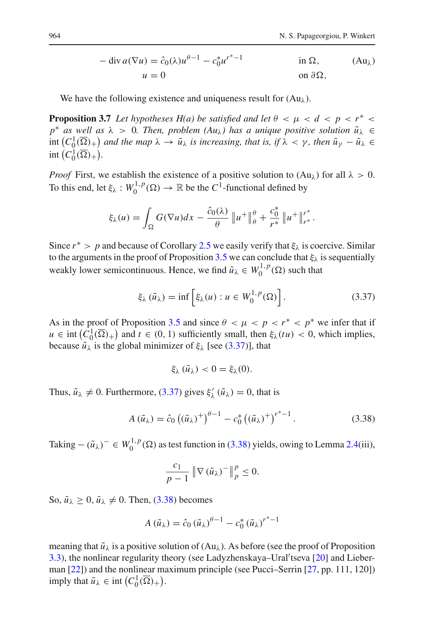$$
-\operatorname{div} a(\nabla u) = \hat{c}_0(\lambda)u^{\theta - 1} - c_0^*u^{r^* - 1} \qquad \text{in } \Omega, \qquad \text{(Au)}u = 0 \qquad \text{on } \partial\Omega,
$$

We have the following existence and uniqueness result for  $(Au<sub>\lambda</sub>)$ .

<span id="page-19-2"></span>**Proposition 3.7** *Let hypotheses H(a) be satisfied and let*  $\theta < \mu < d < p < r^*$  $p^*$  *as well as*  $\lambda > 0$ *. Then, problem*  $(Au_\lambda)$  *has a unique positive solution*  $\tilde{u}_\lambda \in$  $\int_{0}^{\infty}$  ( $C_0^1(\overline{\Omega})_+$ ) and the map  $\lambda \to \tilde{u}_{\lambda}$  is increasing, that is, if  $\lambda < \gamma$ , then  $\tilde{u}_{\gamma} - \tilde{u}_{\lambda} \in$ int  $(C_0^1(\overline{\Omega})_+).$ 

*Proof* First, we establish the existence of a positive solution to  $(Au_\lambda)$  for all  $\lambda > 0$ . To this end, let  $\xi_{\lambda}: W_0^{1,p}(\Omega) \to \mathbb{R}$  be the  $C^1$ -functional defined by

$$
\xi_{\lambda}(u) = \int_{\Omega} G(\nabla u) dx - \frac{\hat{c}_0(\lambda)}{\theta} ||u^+||_{\theta}^{\theta} + \frac{c_0^*}{r^*} ||u^+||_{r^*}^{r^*}.
$$

Since  $r^* > p$  and because of Corollary [2.5](#page-4-2) we easily verify that  $\xi_{\lambda}$  is coercive. Similar to the arguments in the proof of Proposition [3.5](#page-14-3) we can conclude that  $\xi_{\lambda}$  is sequentially weakly lower semicontinuous. Hence, we find  $\tilde{u}_{\lambda} \in W_0^{1,p}(\Omega)$  such that

$$
\xi_{\lambda}(\tilde{u}_{\lambda}) = \inf \left[ \xi_{\lambda}(u) : u \in W_0^{1,p}(\Omega) \right]. \tag{3.37}
$$

As in the proof of Proposition [3.5](#page-14-3) and since  $\theta < \mu < p < r^* < p^*$  we infer that if  $u \in \text{int}\left(C_0^1(\overline{\Omega})_+\right)$  and  $t \in (0, 1)$  sufficiently small, then  $\xi_\lambda(tu) < 0$ , which implies, because  $\tilde{u}_{\lambda}$  is the global minimizer of  $\xi_{\lambda}$  [see [\(3.37\)](#page-19-0)], that

<span id="page-19-1"></span><span id="page-19-0"></span>
$$
\xi_{\lambda}(\tilde{u}_{\lambda})<0=\xi_{\lambda}(0).
$$

Thus,  $\tilde{u}_{\lambda} \neq 0$ . Furthermore, [\(3.37\)](#page-19-0) gives  $\xi'_{\lambda}(\tilde{u}_{\lambda}) = 0$ , that is

$$
A(\tilde{u}_{\lambda}) = \hat{c}_0 \left( (\tilde{u}_{\lambda})^+ \right)^{\theta - 1} - c_0^* \left( (\tilde{u}_{\lambda})^+ \right)^{r^* - 1} . \tag{3.38}
$$

Taking  $-(\tilde{u}_{\lambda})^{-} \in W_0^{1,p}(\Omega)$  as test function in [\(3.38\)](#page-19-1) yields, owing to Lemma [2.4\(](#page-4-1)iii),

$$
\frac{c_1}{p-1} \left\| \nabla \left( \tilde{u}_{\lambda} \right)^{-} \right\|_p^p \leq 0.
$$

So,  $\tilde{u}_{\lambda} \geq 0$ ,  $\tilde{u}_{\lambda} \neq 0$ . Then, [\(3.38\)](#page-19-1) becomes

$$
A\left(\tilde{u}_{\lambda}\right) = \hat{c}_0 \left(\tilde{u}_{\lambda}\right)^{\theta - 1} - c_0^* \left(\tilde{u}_{\lambda}\right)^{r^* - 1}
$$

meaning that  $\tilde{u}_{\lambda}$  is a positive solution of (Au<sub> $\lambda$ </sub>). As before (see the proof of Proposition [3.3\)](#page-10-1), the nonlinear regularity theory (see Ladyzhenskaya–Ural'tseva [\[20](#page-33-15)] and Lieberman [\[22](#page-33-9)]) and the nonlinear maximum principle (see Pucci–Serrin [\[27,](#page-34-3) pp. 111, 120]) imply that  $\tilde{u}_{\lambda} \in \text{int}\left(C_0^1(\overline{\Omega})_+\right)$ .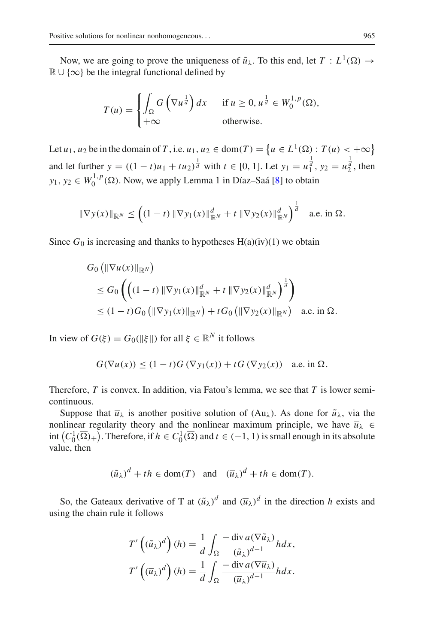Now, we are going to prove the uniqueness of  $\tilde{u}_{\lambda}$ . To this end, let  $T : L^1(\Omega) \rightarrow$  $\mathbb{R} \cup \{\infty\}$  be the integral functional defined by

$$
T(u) = \begin{cases} \int_{\Omega} G\left(\nabla u^{\frac{1}{d}}\right) dx & \text{if } u \ge 0, u^{\frac{1}{d}} \in W_0^{1,p}(\Omega), \\ +\infty & \text{otherwise.} \end{cases}
$$

Let *u*<sub>1</sub>, *u*<sub>2</sub> be in the domain of *T*, i.e. *u*<sub>1</sub>, *u*<sub>2</sub>  $\in$  dom(*T*) = { $u \in L^1(\Omega) : T(u) < +\infty$ } and let further  $y = ((1 - t)u_1 + tu_2)^{\frac{1}{d}}$  with  $t \in [0, 1]$ . Let  $y_1 = u_1^{\frac{1}{d}}$ ,  $y_2 = u_2^{\frac{1}{d}}$ , then *y*<sub>1</sub>, *y*<sub>2</sub>  $\in W_0^{1,p}(\Omega)$ . Now, we apply Lemma 1 in Díaz–Saá [\[8\]](#page-33-19) to obtain

$$
\|\nabla y(x)\|_{\mathbb{R}^N} \le \left( (1-t) \|\nabla y_1(x)\|_{\mathbb{R}^N}^d + t \|\nabla y_2(x)\|_{\mathbb{R}^N}^d \right)^{\frac{1}{d}} \quad \text{a.e. in } \Omega.
$$

Since  $G_0$  is increasing and thanks to hypotheses  $H(a)(iv)(1)$  we obtain

$$
G_0 (\|\nabla u(x)\|_{\mathbb{R}^N})
$$
  
\n
$$
\leq G_0 \left( \left( (1-t) \|\nabla y_1(x)\|_{\mathbb{R}^N}^d + t \|\nabla y_2(x)\|_{\mathbb{R}^N}^d \right)^{\frac{1}{d}} \right)
$$
  
\n
$$
\leq (1-t)G_0 (\|\nabla y_1(x)\|_{\mathbb{R}^N}) + tG_0 (\|\nabla y_2(x)\|_{\mathbb{R}^N}) \text{ a.e. in } \Omega.
$$

In view of  $G(\xi) = G_0(\|\xi\|)$  for all  $\xi \in \mathbb{R}^N$  it follows

$$
G(\nabla u(x)) \le (1-t)G(\nabla y_1(x)) + tG(\nabla y_2(x)) \quad \text{a.e. in } \Omega.
$$

Therefore, *T* is convex. In addition, via Fatou's lemma, we see that *T* is lower semicontinuous.

Suppose that  $\bar{u}_{\lambda}$  is another positive solution of (Au<sub> $\lambda$ </sub>). As done for  $\tilde{u}_{\lambda}$ , via the nonlinear regularity theory and the nonlinear maximum principle, we have  $\overline{u}_{\lambda} \in$ int  $(C_0^1(\overline{\Omega})_+)$ . Therefore, if  $h \in C_0^1(\overline{\Omega})$  and  $t \in (-1, 1)$  is small enough in its absolute value, then

$$
(\tilde{u}_{\lambda})^d + th \in \text{dom}(T)
$$
 and  $(\overline{u}_{\lambda})^d + th \in \text{dom}(T)$ .

So, the Gateaux derivative of T at  $(\tilde{u}_{\lambda})^d$  and  $(\overline{u}_{\lambda})^d$  in the direction *h* exists and using the chain rule it follows

$$
T'\left((\tilde{u}_{\lambda})^d\right)(h) = \frac{1}{d} \int_{\Omega} \frac{-\operatorname{div} a(\nabla \tilde{u}_{\lambda})}{(\tilde{u}_{\lambda})^{d-1}} h dx,
$$
  

$$
T'\left((\overline{u}_{\lambda})^d\right)(h) = \frac{1}{d} \int_{\Omega} \frac{-\operatorname{div} a(\nabla \overline{u}_{\lambda})}{(\overline{u}_{\lambda})^{d-1}} h dx.
$$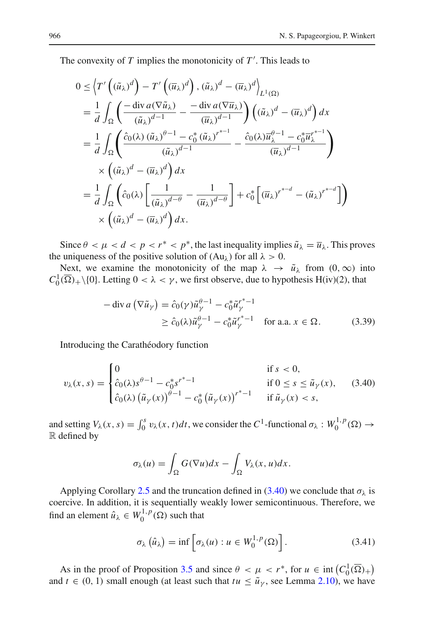The convexity of *T* implies the monotonicity of *T* . This leads to

$$
0 \leq \left\langle T'\left((\tilde{u}_{\lambda})^{d}\right) - T'\left((\overline{u}_{\lambda})^{d}\right), (\tilde{u}_{\lambda})^{d} - (\overline{u}_{\lambda})^{d}\right\rangle_{L^{1}(\Omega)}
$$
\n
$$
= \frac{1}{d} \int_{\Omega} \left(\frac{-\operatorname{div} a(\nabla \tilde{u}_{\lambda})}{(\tilde{u}_{\lambda})^{d-1}} - \frac{-\operatorname{div} a(\nabla \overline{u}_{\lambda})}{(\overline{u}_{\lambda})^{d-1}}\right) \left((\tilde{u}_{\lambda})^{d} - (\overline{u}_{\lambda})^{d}\right) dx
$$
\n
$$
= \frac{1}{d} \int_{\Omega} \left(\frac{\hat{c}_{0}(\lambda) (\tilde{u}_{\lambda})^{d-1} - c_{0}^{*} (\tilde{u}_{\lambda})^{r^{*-1}}}{(\tilde{u}_{\lambda})^{d-1}} - \frac{\hat{c}_{0}(\lambda) \overline{u}_{\lambda}^{d-1} - c_{0}^{*} \overline{u}_{\lambda}^{r^{*-1}}}{(\overline{u}_{\lambda})^{d-1}}\right)
$$
\n
$$
\times \left((\tilde{u}_{\lambda})^{d} - (\overline{u}_{\lambda})^{d}\right) dx
$$
\n
$$
= \frac{1}{d} \int_{\Omega} \left(\hat{c}_{0}(\lambda) \left[\frac{1}{(\tilde{u}_{\lambda})^{d-\theta}} - \frac{1}{(\overline{u}_{\lambda})^{d-\theta}}\right] + c_{0}^{*} \left[\left(\overline{u}_{\lambda}\right)^{r^{*-d}} - \left(\tilde{u}_{\lambda}\right)^{r^{*-d}}\right]\right)
$$
\n
$$
\times \left((\tilde{u}_{\lambda})^{d} - (\overline{u}_{\lambda})^{d}\right) dx.
$$

Since  $\theta < \mu < d < p < r^* < p^*$ , the last inequality implies  $\tilde{u}_{\lambda} = \overline{u}_{\lambda}$ . This proves the uniqueness of the positive solution of  $(Au<sub>\lambda</sub>)$  for all  $\lambda > 0$ .

Next, we examine the monotonicity of the map  $\lambda \to \tilde{u}_{\lambda}$  from  $(0, \infty)$  into  $C_0^1(\overline{\Omega})_+\setminus\{0\}$ . Letting  $0 < \lambda < \gamma$ , we first observe, due to hypothesis H(iv)(2), that

<span id="page-21-2"></span>
$$
-\operatorname{div} a\left(\nabla \tilde{u}_{\gamma}\right) = \hat{c}_0(\gamma)\tilde{u}_{\gamma}^{\theta - 1} - c_0^* \tilde{u}_{\gamma}^{r^* - 1}
$$
  
\n
$$
\geq \hat{c}_0(\lambda)\tilde{u}_{\gamma}^{\theta - 1} - c_0^* \tilde{u}_{\gamma}^{r^* - 1} \quad \text{for a.a. } x \in \Omega.
$$
 (3.39)

Introducing the Carathéodory function

$$
v_{\lambda}(x, s) = \begin{cases} 0 & \text{if } s < 0, \\ \hat{c}_0(\lambda)s^{\theta - 1} - c_0^* s^{r^* - 1} & \text{if } 0 \le s \le \tilde{u}_{\gamma}(x), \\ \hat{c}_0(\lambda) (\tilde{u}_{\gamma}(x))^{\theta - 1} - c_0^* (\tilde{u}_{\gamma}(x))^{r^* - 1} & \text{if } \tilde{u}_{\gamma}(x) < s, \end{cases}
$$
(3.40)

and setting  $V_\lambda(x, s) = \int_0^s v_\lambda(x, t) dt$ , we consider the  $C^1$ -functional  $\sigma_\lambda : W_0^{1, p}(\Omega) \to$ R defined by

<span id="page-21-0"></span>
$$
\sigma_{\lambda}(u) = \int_{\Omega} G(\nabla u) dx - \int_{\Omega} V_{\lambda}(x, u) dx.
$$

Applying Corollary [2.5](#page-4-2) and the truncation defined in [\(3.40\)](#page-21-0) we conclude that  $\sigma_{\lambda}$  is coercive. In addition, it is sequentially weakly lower semicontinuous. Therefore, we find an element  $\hat{u}_{\lambda} \in W_0^{1,p}(\Omega)$  such that

<span id="page-21-1"></span>
$$
\sigma_{\lambda}(\hat{u}_{\lambda}) = \inf \left[ \sigma_{\lambda}(u) : u \in W_0^{1,p}(\Omega) \right]. \tag{3.41}
$$

As in the proof of Proposition [3.5](#page-14-3) and since  $\theta < \mu < r^*$ , for  $u \in \text{int}\left(C_0^1(\overline{\Omega})_+\right)$ and  $t \in (0, 1)$  small enough (at least such that  $tu \leq \tilde{u}_{\gamma}$ , see Lemma [2.10\)](#page-8-0), we have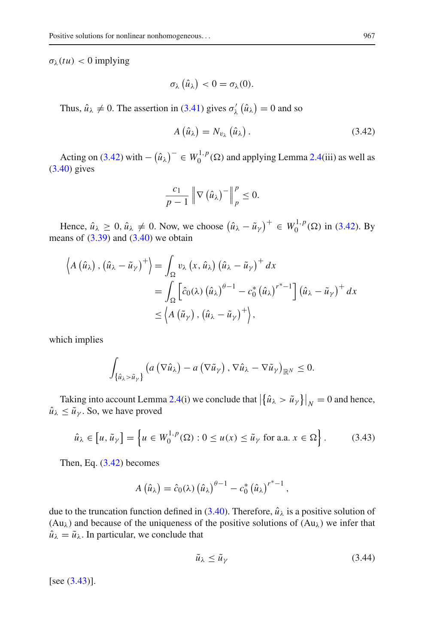$\sigma_{\lambda}(tu) < 0$  implying

$$
\sigma_{\lambda}\left(\hat{u}_{\lambda}\right) < 0 = \sigma_{\lambda}(0).
$$

Thus,  $\hat{u}_{\lambda} \neq 0$ . The assertion in [\(3.41\)](#page-21-1) gives  $\sigma'_{\lambda}(\hat{u}_{\lambda}) = 0$  and so

<span id="page-22-0"></span>
$$
A\left(\hat{u}_{\lambda}\right) = N_{v_{\lambda}}\left(\hat{u}_{\lambda}\right). \tag{3.42}
$$

Acting on [\(3.42\)](#page-22-0) with  $-(\hat{u}_{\lambda})^{-} \in W_0^{1,p}(\Omega)$  and applying Lemma [2.4\(](#page-4-1)iii) as well as [\(3.40\)](#page-21-0) gives

$$
\frac{c_1}{p-1}\left\|\nabla\left(\hat{u}_{\lambda}\right)^-\right\|_p^p\leq 0.
$$

Hence,  $\hat{u}_{\lambda} \ge 0$ ,  $\hat{u}_{\lambda} \ne 0$ . Now, we choose  $(\hat{u}_{\lambda} - \tilde{u}_{\gamma})^+ \in W_0^{1,p}(\Omega)$  in [\(3.42\)](#page-22-0). By means of  $(3.39)$  and  $(3.40)$  we obtain

$$
\langle A(\hat{u}_{\lambda}), (\hat{u}_{\lambda} - \tilde{u}_{\gamma})^{+} \rangle = \int_{\Omega} v_{\lambda} (x, \hat{u}_{\lambda}) (\hat{u}_{\lambda} - \tilde{u}_{\gamma})^{+} dx
$$
  
= 
$$
\int_{\Omega} \left[ \hat{c}_{0}(\lambda) (\hat{u}_{\lambda})^{\theta - 1} - c_{0}^{*} (\hat{u}_{\lambda})^{r^{*} - 1} \right] (\hat{u}_{\lambda} - \tilde{u}_{\gamma})^{+} dx
$$
  
\$\leq \langle A(\tilde{u}\_{\gamma}), (\hat{u}\_{\lambda} - \tilde{u}\_{\gamma})^{+} \rangle\$,

which implies

$$
\int_{\{\hat{u}_{\lambda} > \tilde{u}_{\gamma}\}} \left( a \left( \nabla \hat{u}_{\lambda} \right) - a \left( \nabla \tilde{u}_{\gamma} \right), \nabla \hat{u}_{\lambda} - \nabla \tilde{u}_{\gamma} \right)_{\mathbb{R}^{N}} \leq 0.
$$

Taking into account Lemma [2.4\(](#page-4-1)i) we conclude that  $\left|\left\{\hat{u}_{\lambda} > \tilde{u}_{\gamma}\right\}\right|_{N} = 0$  and hence,  $\hat{u}_{\lambda} \leq \tilde{u}_{\gamma}$ . So, we have proved

$$
\hat{u}_{\lambda} \in [u, \tilde{u}_{\gamma}] = \left\{ u \in W_0^{1, p}(\Omega) : 0 \le u(x) \le \tilde{u}_{\gamma} \text{ for a.a. } x \in \Omega \right\}.
$$
 (3.43)

Then, Eq. [\(3.42\)](#page-22-0) becomes

$$
A\left(\hat{u}_{\lambda}\right) = \hat{c}_0(\lambda)\left(\hat{u}_{\lambda}\right)^{\theta-1} - c_0^*\left(\hat{u}_{\lambda}\right)^{r^*-1},
$$

due to the truncation function defined in  $(3.40)$ . Therefore,  $\hat{u}_{\lambda}$  is a positive solution of  $(Au<sub>\lambda</sub>)$  and because of the uniqueness of the positive solutions of  $(Au<sub>\lambda</sub>)$  we infer that  $\hat{u}_{\lambda} = \tilde{u}_{\lambda}$ . In particular, we conclude that

<span id="page-22-2"></span><span id="page-22-1"></span>
$$
\tilde{u}_{\lambda} \le \tilde{u}_{\gamma} \tag{3.44}
$$

 $[see (3.43)].$  $[see (3.43)].$  $[see (3.43)].$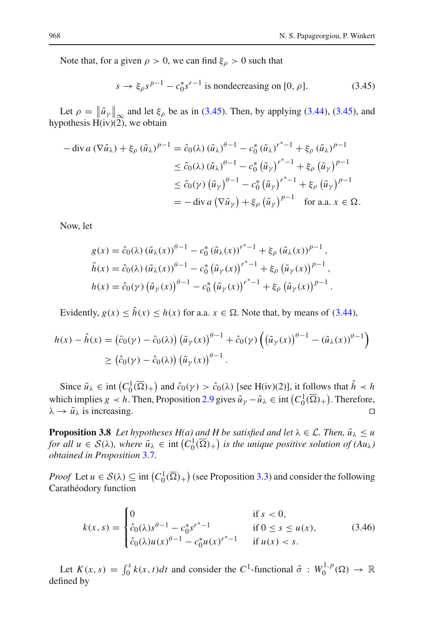Note that, for a given  $\rho > 0$ , we can find  $\xi_{\rho} > 0$  such that

<span id="page-23-0"></span>
$$
s \to \xi_{\rho} s^{p-1} - c_0^* s^{r-1}
$$
 is nondecreasing on [0,  $\rho$ ]. (3.45)

Let  $\rho = \|\tilde{u}_{\gamma}\|_{\infty}$  and let  $\xi_{\rho}$  be as in [\(3.45\)](#page-23-0). Then, by applying [\(3.44\)](#page-22-2), (3.45), and nother  $U(\tilde{u})$  we obtain hypothesis  $H(iv)(2)$ , we obtain

$$
-\operatorname{div} a\left(\nabla \tilde{u}_{\lambda}\right) + \xi_{\rho}\left(\tilde{u}_{\lambda}\right)^{p-1} = \hat{c}_{0}(\lambda)\left(\tilde{u}_{\lambda}\right)^{\rho-1} - c_{0}^{*}\left(\tilde{u}_{\lambda}\right)^{r^{*}-1} + \xi_{\rho}\left(\tilde{u}_{\lambda}\right)^{p-1}
$$
  
\n
$$
\leq \hat{c}_{0}(\lambda)\left(\tilde{u}_{\lambda}\right)^{\rho-1} - c_{0}^{*}\left(\tilde{u}_{\gamma}\right)^{r^{*}-1} + \xi_{\rho}\left(\tilde{u}_{\gamma}\right)^{p-1}
$$
  
\n
$$
\leq \hat{c}_{0}(\gamma)\left(\tilde{u}_{\gamma}\right)^{\rho-1} - c_{0}^{*}\left(\tilde{u}_{\gamma}\right)^{r^{*}-1} + \xi_{\rho}\left(\tilde{u}_{\gamma}\right)^{p-1}
$$
  
\n
$$
= -\operatorname{div} a\left(\nabla \tilde{u}_{\gamma}\right) + \xi_{\rho}\left(\tilde{u}_{\gamma}\right)^{p-1} \quad \text{for a.a. } x \in \Omega.
$$

Now, let

$$
g(x) = \hat{c}_0(\lambda) (\tilde{u}_{\lambda}(x))^{\theta - 1} - c_0^* (\tilde{u}_{\lambda}(x))^{r^* - 1} + \xi_{\rho} (\tilde{u}_{\lambda}(x))^{p - 1},
$$
  
\n
$$
\hat{h}(x) = \hat{c}_0(\lambda) (\tilde{u}_{\lambda}(x))^{\theta - 1} - c_0^* (\tilde{u}_{\gamma}(x))^{r^* - 1} + \xi_{\rho} (\tilde{u}_{\gamma}(x))^{p - 1},
$$
  
\n
$$
h(x) = \hat{c}_0(\gamma) (\tilde{u}_{\gamma}(x))^{r^* - 1} - c_0^* (\tilde{u}_{\gamma}(x))^{r^* - 1} + \xi_{\rho} (\tilde{u}_{\gamma}(x))^{p - 1}.
$$

Evidently,  $g(x) \le \hat{h}(x) \le h(x)$  for a.a.  $x \in \Omega$ . Note that, by means of [\(3.44\)](#page-22-2),

$$
h(x) - \hat{h}(x) = (\hat{c}_0(\gamma) - \hat{c}_0(\lambda)) (\tilde{u}_{\gamma}(x))^{\theta - 1} + \hat{c}_0(\gamma) ((\tilde{u}_{\gamma}(x))^{\theta - 1} - (\tilde{u}_{\lambda}(x))^{\theta - 1})
$$
  
\n
$$
\geq (\hat{c}_0(\gamma) - \hat{c}_0(\lambda)) (\tilde{u}_{\gamma}(x))^{\theta - 1}.
$$

Since  $\tilde{u}_{\lambda} \in \text{int} \left( C_0^1(\overline{\Omega})_+ \right)$  and  $\hat{c}_0(\gamma) > \hat{c}_0(\lambda)$  [see H(iv)(2)], it follows that  $\hat{h} \prec h$ which implies *g k h*. Then, Proposition [2.9](#page-6-0) gives  $\tilde{u}_\gamma - \tilde{u}_\lambda \in \text{int}\left(C_0^1(\overline{\Omega})_+\right)$ . Therefore,  $\lambda \to \tilde{u}_{\lambda}$  is increasing.

<span id="page-23-2"></span>**Proposition 3.8** *Let hypotheses H(a) and H be satisfied and let*  $\lambda \in \mathcal{L}$ *. Then,*  $\tilde{u}_{\lambda} \leq u$ *for all*  $u \in S(\lambda)$ , where  $\tilde{u}_{\lambda} \in \text{int}(C_0^1(\overline{\Omega})_+)$  is the unique positive solution of  $(Au_{\lambda})$ *obtained in Proposition* [3.7](#page-19-2)*.*

*Proof* Let  $u \in S(\lambda) \subseteq \text{int}\left(C_0^1(\overline{\Omega})_+\right)$  (see Proposition [3.3\)](#page-10-1) and consider the following Carathéodory function

<span id="page-23-1"></span>
$$
k(x,s) = \begin{cases} 0 & \text{if } s < 0, \\ \hat{c}_0(\lambda)s^{\theta-1} - c_0^* s^{r^*-1} & \text{if } 0 \le s \le u(x), \\ \hat{c}_0(\lambda)u(x)^{\theta-1} - c_0^* u(x)^{r^*-1} & \text{if } u(x) < s. \end{cases}
$$
(3.46)

Let  $K(x, s) = \int_0^s k(x, t)dt$  and consider the  $C^1$ -functional  $\hat{\sigma}: W_0^{1,p}(\Omega) \to \mathbb{R}$ defined by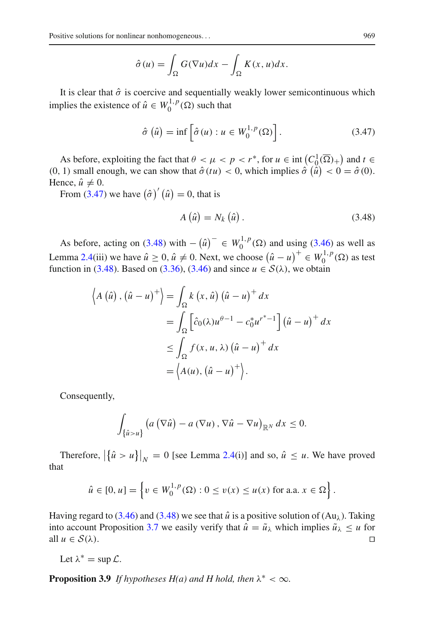$$
\hat{\sigma}(u) = \int_{\Omega} G(\nabla u) dx - \int_{\Omega} K(x, u) dx.
$$

It is clear that  $\hat{\sigma}$  is coercive and sequentially weakly lower semicontinuous which implies the existence of  $\hat{u} \in W_0^{1,p}(\Omega)$  such that

$$
\hat{\sigma}(\hat{u}) = \inf \left[ \hat{\sigma}(u) : u \in W_0^{1,p}(\Omega) \right]. \tag{3.47}
$$

As before, exploiting the fact that  $\theta < \mu < p < r^*$ , for  $u \in \text{int}\left(C_0^1(\overline{\Omega})_+\right)$  and  $t \in \Omega$  $(0, 1)$  small enough, we can show that  $\hat{\sigma}(tu) < 0$ , which implies  $\hat{\sigma}(\hat{u}) < 0 = \hat{\sigma}(0)$ . Hence,  $\hat{u} \neq 0$ .

From  $(3.47)$  we have  $(\hat{\sigma})'(\hat{u}) = 0$ , that is

<span id="page-24-1"></span><span id="page-24-0"></span>
$$
A\left(\hat{u}\right) = N_k\left(\hat{u}\right). \tag{3.48}
$$

As before, acting on [\(3.48\)](#page-24-1) with  $-(\hat{u})^{-} \in W_0^{1,p}(\Omega)$  and using [\(3.46\)](#page-23-1) as well as Lemma [2.4\(](#page-4-1)iii) we have  $\hat{u} \ge 0$ ,  $\hat{u} \ne 0$ . Next, we choose  $(\hat{u} - u)^+ \in W_0^{1,p}(\Omega)$  as test function in [\(3.48\)](#page-24-1). Based on [\(3.36\)](#page-18-1), [\(3.46\)](#page-23-1) and since  $u \in \mathcal{S}(\lambda)$ , we obtain

$$
\left\langle A\left(\hat{u}\right),\left(\hat{u}-u\right)^{+}\right\rangle = \int_{\Omega} k\left(x,\hat{u}\right)\left(\hat{u}-u\right)^{+} dx
$$

$$
= \int_{\Omega} \left[\hat{c}_{0}(\lambda)u^{\theta-1} - c_{0}^{*}u^{*} - 1\right]\left(\hat{u}-u\right)^{+} dx
$$

$$
\leq \int_{\Omega} f(x,u,\lambda)\left(\hat{u}-u\right)^{+} dx
$$

$$
= \left\langle A(u),\left(\hat{u}-u\right)^{+}\right\rangle.
$$

Consequently,

$$
\int_{\{\hat{u} > u\}} \left( a\left(\nabla \hat{u}\right) - a\left(\nabla u\right), \nabla \hat{u} - \nabla u\right)_{\mathbb{R}^N} dx \leq 0.
$$

Therefore,  $|\{\hat{u} > u\}|_N = 0$  [see Lemma [2.4\(](#page-4-1)i)] and so,  $\hat{u} \le u$ . We have proved that

$$
\hat{u} \in [0, u] = \left\{ v \in W_0^{1, p}(\Omega) : 0 \le v(x) \le u(x) \text{ for a.a. } x \in \Omega \right\}.
$$

Having regard to  $(3.46)$  and  $(3.48)$  we see that  $\hat{u}$  is a positive solution of  $(Au<sub>λ</sub>)$ . Taking into account Proposition [3.7](#page-19-2) we easily verify that  $\hat{u} = \tilde{u}_{\lambda}$  which implies  $\tilde{u}_{\lambda} \le u$  for all  $u \in S(\lambda)$ . all  $u \in S(\lambda)$ .

Let  $\lambda^* = \sup \mathcal{L}$ .

<span id="page-24-2"></span>**Proposition 3.9** *If hypotheses H(a) and H hold, then*  $\lambda^* < \infty$ *.*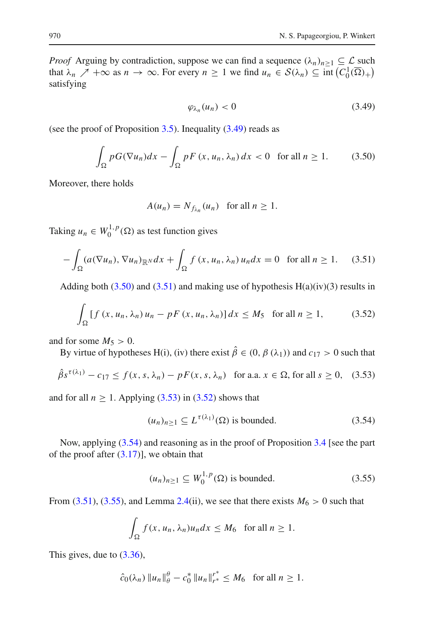*Proof* Arguing by contradiction, suppose we can find a sequence  $(\lambda_n)_{n>1} \subseteq \mathcal{L}$  such that  $\lambda_n \nearrow +\infty$  as  $n \to \infty$ . For every  $n \ge 1$  we find  $u_n \in S(\lambda_n) \subseteq \text{int}\left(C_0^1(\overline{\Omega})_+\right)$ satisfying

<span id="page-25-1"></span><span id="page-25-0"></span>
$$
\varphi_{\lambda_n}(u_n) < 0 \tag{3.49}
$$

(see the proof of Proposition  $3.5$ ). Inequality  $(3.49)$  reads as

$$
\int_{\Omega} pG(\nabla u_n)dx - \int_{\Omega} pF(x, u_n, \lambda_n)dx < 0 \text{ for all } n \ge 1.
$$
 (3.50)

Moreover, there holds

<span id="page-25-4"></span><span id="page-25-2"></span>
$$
A(u_n) = N_{f_{\lambda_n}}(u_n) \text{ for all } n \ge 1.
$$

Taking  $u_n \in W_0^{1,p}(\Omega)$  as test function gives

$$
-\int_{\Omega} (a(\nabla u_n), \nabla u_n)_{\mathbb{R}^N} dx + \int_{\Omega} f(x, u_n, \lambda_n) u_n dx = 0 \text{ for all } n \ge 1.
$$
 (3.51)

Adding both [\(3.50\)](#page-25-1) and [\(3.51\)](#page-25-2) and making use of hypothesis  $H(a)(iv)(3)$  results in

$$
\int_{\Omega} \left[ f \left( x, u_n, \lambda_n \right) u_n - pF \left( x, u_n, \lambda_n \right) \right] dx \le M_5 \quad \text{for all } n \ge 1,
$$
 (3.52)

and for some  $M_5 > 0$ .

By virtue of hypotheses H(i), (iv) there exist  $\hat{\beta} \in (0, \beta(\lambda_1))$  and  $c_{17} > 0$  such that

$$
\hat{\beta} s^{\tau(\lambda_1)} - c_{17} \le f(x, s, \lambda_n) - pF(x, s, \lambda_n) \quad \text{for a.a. } x \in \Omega \text{, for all } s \ge 0, \tag{3.53}
$$

and for all  $n \ge 1$ . Applying [\(3.53\)](#page-25-3) in [\(3.52\)](#page-25-4) shows that

<span id="page-25-5"></span><span id="page-25-3"></span>
$$
(u_n)_{n\geq 1} \subseteq L^{\tau(\lambda_1)}(\Omega) \text{ is bounded.}
$$
 (3.54)

Now, applying [\(3.54\)](#page-25-5) and reasoning as in the proof of Proposition [3.4](#page-11-3) [see the part of the proof after  $(3.17)$ ], we obtain that

<span id="page-25-6"></span>
$$
(u_n)_{n\geq 1} \subseteq W_0^{1,p}(\Omega) \text{ is bounded.}
$$
 (3.55)

From [\(3.51\)](#page-25-2), [\(3.55\)](#page-25-6), and Lemma [2.4\(](#page-4-1)ii), we see that there exists  $M_6 > 0$  such that

$$
\int_{\Omega} f(x, u_n, \lambda_n) u_n dx \le M_6 \text{ for all } n \ge 1.
$$

This gives, due to [\(3.36\)](#page-18-1),

$$
\hat{c}_0(\lambda_n) \|u_n\|_{\theta}^{\theta} - c_0^* \|u_n\|_{r^*}^{r^*} \le M_6 \text{ for all } n \ge 1.
$$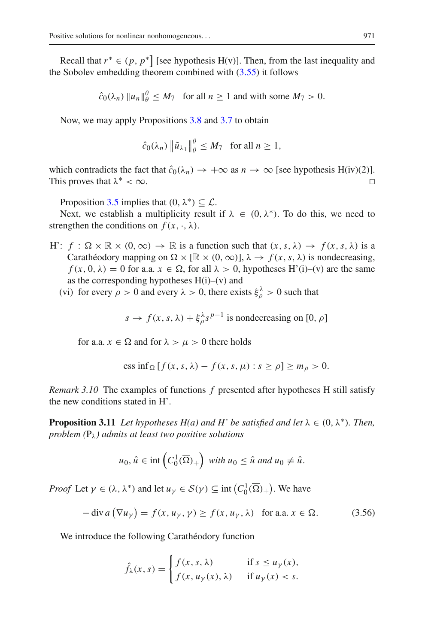Recall that  $r^* \in (p, p^*]$  [see hypothesis H(v)]. Then, from the last inequality and the Sobolev embedding theorem combined with  $(3.55)$  it follows

$$
\hat{c}_0(\lambda_n) \|u_n\|_{\theta}^{\theta} \le M_7
$$
 for all  $n \ge 1$  and with some  $M_7 > 0$ .

Now, we may apply Propositions [3.8](#page-23-2) and [3.7](#page-19-2) to obtain

$$
\hat{c}_0(\lambda_n) \| \tilde{u}_{\lambda_1} \|_{\theta}^{\theta} \le M_7 \text{ for all } n \ge 1,
$$

which contradicts the fact that  $\hat{c}_0(\lambda_n) \to +\infty$  as  $n \to \infty$  [see hypothesis H(iv)(2)].<br>This proves that  $\lambda^* < \infty$ . This proves that  $\lambda^* < \infty$ .

Proposition [3.5](#page-14-3) implies that  $(0, \lambda^*) \subset \mathcal{L}$ .

Next, we establish a multiplicity result if  $\lambda \in (0, \lambda^*)$ . To do this, we need to strengthen the conditions on  $f(x, \cdot, \lambda)$ .

- H':  $f : \Omega \times \mathbb{R} \times (0, \infty) \rightarrow \mathbb{R}$  is a function such that  $(x, s, \lambda) \rightarrow f(x, s, \lambda)$  is a Carathéodory mapping on  $\Omega \times [\mathbb{R} \times (0, \infty)]$ ,  $\lambda \to f(x, s, \lambda)$  is nondecreasing,  $f(x, 0, \lambda) = 0$  for a.a.  $x \in \Omega$ , for all  $\lambda > 0$ , hypotheses H'(i)–(v) are the same as the corresponding hypotheses  $H(i)$ –(v) and
	- (vi) for every  $\rho > 0$  and every  $\lambda > 0$ , there exists  $\xi_{\rho}^{\lambda} > 0$  such that

$$
s \to f(x, s, \lambda) + \xi_{\rho}^{\lambda} s^{p-1}
$$
 is nondecreasing on [0,  $\rho$ ]

for a.a.  $x \in \Omega$  and for  $\lambda > \mu > 0$  there holds

ess inf<sub>Ω</sub> 
$$
[f(x, s, \lambda) - f(x, s, \mu) : s \ge \rho] \ge m_\rho > 0.
$$

*Remark 3.10* The examples of functions *f* presented after hypotheses H still satisfy the new conditions stated in H'.

<span id="page-26-1"></span>**Proposition 3.11** *Let hypotheses H(a) and H' be satisfied and let*  $\lambda \in (0, \lambda^*)$ *. Then, problem*  $(P_{\lambda})$  *admits at least two positive solutions* 

$$
u_0, \hat{u} \in \text{int}\left(C_0^1(\overline{\Omega})_+\right) \text{ with } u_0 \leq \hat{u} \text{ and } u_0 \neq \hat{u}.
$$

*Proof* Let  $\gamma \in (\lambda, \lambda^*)$  and let  $u_{\gamma} \in S(\gamma) \subseteq \text{int}(C_0^1(\overline{\Omega})_+)$ . We have

$$
-\operatorname{div} a\left(\nabla u_{\gamma}\right) = f(x, u_{\gamma}, \gamma) \ge f(x, u_{\gamma}, \lambda) \quad \text{for a.a. } x \in \Omega. \tag{3.56}
$$

We introduce the following Carathéodory function

<span id="page-26-0"></span>
$$
\hat{f}_{\lambda}(x,s) = \begin{cases} f(x,s,\lambda) & \text{if } s \le u_{\gamma}(x), \\ f(x,u_{\gamma}(x),\lambda) & \text{if } u_{\gamma}(x) < s. \end{cases}
$$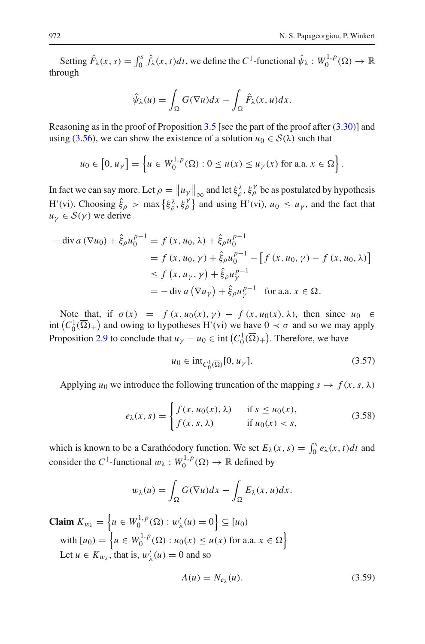Setting  $\hat{F}_{\lambda}(x, s) = \int_0^s \hat{f}_{\lambda}(x, t) dt$ , we define the  $C^1$ -functional  $\hat{\psi}_{\lambda}: W_0^{1, p}(\Omega) \to \mathbb{R}$ through

$$
\hat{\psi}_{\lambda}(u) = \int_{\Omega} G(\nabla u) dx - \int_{\Omega} \hat{F}_{\lambda}(x, u) dx.
$$

Reasoning as in the proof of Proposition  $3.5$  [see the part of the proof after  $(3.30)$ ] and using [\(3.56\)](#page-26-0), we can show the existence of a solution  $u_0 \in S(\lambda)$  such that

$$
u_0 \in [0, u_\gamma] = \left\{ u \in W_0^{1,p}(\Omega) : 0 \le u(x) \le u_\gamma(x) \text{ for a.a. } x \in \Omega \right\}.
$$

In fact we can say more. Let  $\rho = ||u_\gamma||_\infty$  and let  $\xi_\rho^\lambda$ ,  $\xi_\rho^\gamma$  be as postulated by hypothesis H'(vi). Choosing  $\hat{\xi}_{\rho} > \max \{\xi_{\rho}^{\lambda}, \xi_{\rho}^{\gamma}\}\$  and using H'(vi),  $u_0 \leq u_{\gamma}$ , and the fact that  $u_{\nu} \in S(\gamma)$  we derive

$$
-\operatorname{div} a (\nabla u_0) + \hat{\xi}_{\rho} u_0^{p-1} = f (x, u_0, \lambda) + \hat{\xi}_{\rho} u_0^{p-1}
$$
  
=  $f (x, u_0, \gamma) + \hat{\xi}_{\rho} u_0^{p-1} - [f (x, u_0, \gamma) - f (x, u_0, \lambda)]$   
 $\leq f (x, u_{\gamma}, \gamma) + \hat{\xi}_{\rho} u_{\gamma}^{p-1}$   
=  $-\operatorname{div} a (\nabla u_{\gamma}) + \hat{\xi}_{\rho} u_{\gamma}^{p-1}$  for a.a.  $x \in \Omega$ .

Note that, if  $\sigma(x) = f(x, u_0(x), y) - f(x, u_0(x), \lambda)$ , then since  $u_0 \in$ int  $(C_0^1(\overline{\Omega})_+)$  and owing to hypotheses H'(vi) we have  $0 \prec \sigma$  and so we may apply Proposition [2.9](#page-6-0) to conclude that  $u_{\gamma} - u_0 \in \text{int}\left(C_0^1(\overline{\Omega})_+\right)$ . Therefore, we have

<span id="page-27-2"></span><span id="page-27-1"></span>
$$
u_0 \in \text{int}_{C_0^1(\overline{\Omega})} [0, u_\gamma]. \tag{3.57}
$$

Applying  $u_0$  we introduce the following truncation of the mapping  $s \to f(x, s, \lambda)$ 

$$
e_{\lambda}(x,s) = \begin{cases} f(x, u_0(x), \lambda) & \text{if } s \le u_0(x), \\ f(x, s, \lambda) & \text{if } u_0(x) < s, \end{cases} \tag{3.58}
$$

which is known to be a Carathéodory function. We set  $E_{\lambda}(x, s) = \int_0^s e_{\lambda}(x, t) dt$  and consider the  $C^1$ -functional  $w_\lambda : W_0^{1,p}(\Omega) \to \mathbb{R}$  defined by

$$
w_{\lambda}(u) = \int_{\Omega} G(\nabla u) dx - \int_{\Omega} E_{\lambda}(x, u) dx.
$$

**Claim**  $K_{w_{\lambda}} = \left\{ u \in W_0^{1,p}(\Omega) : w'_{\lambda}(u) = 0 \right\} \subseteq [u_0]$ with  $[u_0] = \left\{ u \in W_0^{1,p}(\Omega) : u_0(x) \le u(x) \text{ for a.a. } x \in \Omega \right\}$ Let  $u \in K_{w_{\lambda}}$ , that is,  $w'_{\lambda}(u) = 0$  and so

<span id="page-27-0"></span>
$$
A(u) = N_{e_{\lambda}}(u). \tag{3.59}
$$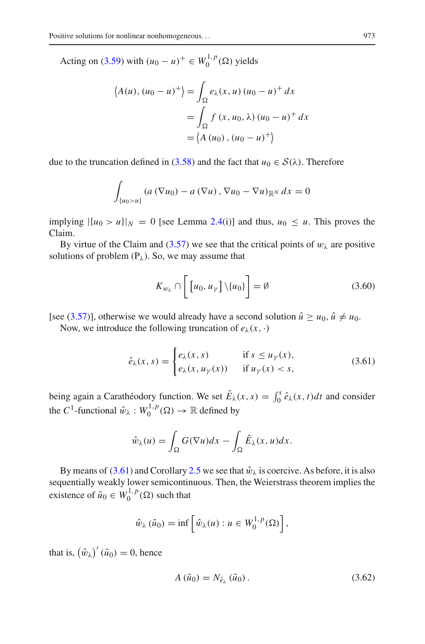Acting on [\(3.59\)](#page-27-0) with  $(u_0 - u)^+ \in W_0^{1,p}(\Omega)$  yields

$$
\langle A(u), (u_0 - u)^+ \rangle = \int_{\Omega} e_{\lambda}(x, u) (u_0 - u)^+ dx
$$

$$
= \int_{\Omega} f(x, u_0, \lambda) (u_0 - u)^+ dx
$$

$$
= \langle A (u_0), (u_0 - u)^+ \rangle
$$

due to the truncation defined in [\(3.58\)](#page-27-1) and the fact that  $u_0 \in S(\lambda)$ . Therefore

$$
\int_{\{u_0>u\}} \left( a\left(\nabla u_0\right) - a\left(\nabla u\right), \nabla u_0 - \nabla u\right)_{\mathbb{R}^N} dx = 0
$$

implying  $|\{u_0 > u\}|_N = 0$  [see Lemma [2.4\(](#page-4-1)i)] and thus,  $u_0 \le u$ . This proves the Claim.

By virtue of the Claim and [\(3.57\)](#page-27-2) we see that the critical points of  $w<sub>\lambda</sub>$  are positive solutions of problem  $(P_{\lambda})$ . So, we may assume that

<span id="page-28-2"></span><span id="page-28-0"></span>
$$
K_{w_{\lambda}} \cap \left[ [u_0, u_{\gamma}] \backslash \{u_0\} \right] = \emptyset \tag{3.60}
$$

[see [\(3.57\)](#page-27-2)], otherwise we would already have a second solution  $\hat{u} \geq u_0$ ,  $\hat{u} \neq u_0$ .

Now, we introduce the following truncation of  $e_{\lambda}(x, \cdot)$ 

$$
\hat{e}_{\lambda}(x,s) = \begin{cases} e_{\lambda}(x,s) & \text{if } s \le u_{\gamma}(x), \\ e_{\lambda}(x,u_{\gamma}(x)) & \text{if } u_{\gamma}(x) < s, \end{cases} \tag{3.61}
$$

being again a Carathéodory function. We set  $\hat{E}_{\lambda}(x, s) = \int_0^s \hat{e}_{\lambda}(x, t) dt$  and consider the *C*<sup>1</sup>-functional  $\hat{w}_{\lambda}: W_0^{1,p}(\Omega) \to \mathbb{R}$  defined by

$$
\hat{w}_{\lambda}(u) = \int_{\Omega} G(\nabla u) dx - \int_{\Omega} \hat{E}_{\lambda}(x, u) dx.
$$

By means of [\(3.61\)](#page-28-0) and Corollary [2.5](#page-4-2) we see that  $\hat{w}_{\lambda}$  is coercive. As before, it is also sequentially weakly lower semicontinuous. Then, the Weierstrass theorem implies the existence of  $\tilde{u}_0 \in W_0^{1,p}(\Omega)$  such that

$$
\hat{w}_{\lambda}(\tilde{u}_0) = \inf \left[ \hat{w}_{\lambda}(u) : u \in W_0^{1,p}(\Omega) \right],
$$

that is,  $(\hat{w}_\lambda)'(\tilde{u}_0) = 0$ , hence

<span id="page-28-1"></span>
$$
A\left(\tilde{u}_0\right) = N_{\hat{e}_\lambda}\left(\tilde{u}_0\right). \tag{3.62}
$$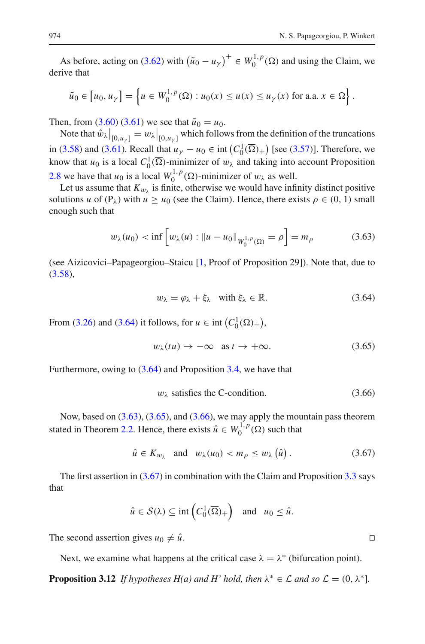As before, acting on [\(3.62\)](#page-28-1) with  $(\tilde{u}_0 - u_\gamma)^+ \in W_0^{1,p}(\Omega)$  and using the Claim, we derive that

$$
\tilde{u}_0 \in [u_0, u_\gamma] = \left\{ u \in W_0^{1,p}(\Omega) : u_0(x) \le u(x) \le u_\gamma(x) \text{ for a.a. } x \in \Omega \right\}.
$$

Then, from [\(3.60\)](#page-28-2) [\(3.61\)](#page-28-0) we see that  $\tilde{u}_0 = u_0$ .

Note that  $\hat{w}_{\lambda}|_{[0,u_{\gamma}]} = w_{\lambda}|_{[0,u_{\gamma}]}$  which follows from the definition of the truncations in [\(3.58\)](#page-27-1) and [\(3.61\)](#page-28-0). Recall that  $u_{\gamma} - u_0 \in \text{int}\left(C_0^1(\overline{\Omega})_+\right)$  [see [\(3.57\)](#page-27-2)]. Therefore, we know that  $u_0$  is a local  $C_0^1(\overline{\Omega})$ -minimizer of  $w_\lambda$  and taking into account Proposition [2.8](#page-5-2) we have that  $u_0$  is a local  $W_0^{1,p}(\Omega)$ -minimizer of  $w_\lambda$  as well.

Let us assume that  $K_{w_0}$  is finite, otherwise we would have infinity distinct positive solutions *u* of  $(P_\lambda)$  with  $u \ge u_0$  (see the Claim). Hence, there exists  $\rho \in (0, 1)$  small enough such that

$$
w_{\lambda}(u_0) < \inf \left[ w_{\lambda}(u) : \|u - u_0\|_{W_0^{1,p}(\Omega)} = \rho \right] = m_{\rho} \tag{3.63}
$$

(see Aizicovici–Papageorgiou–Staicu [\[1,](#page-33-20) Proof of Proposition 29]). Note that, due to [\(3.58\)](#page-27-1),

<span id="page-29-1"></span><span id="page-29-0"></span>
$$
w_{\lambda} = \varphi_{\lambda} + \xi_{\lambda} \quad \text{with } \xi_{\lambda} \in \mathbb{R}.
$$
 (3.64)

From [\(3.26\)](#page-16-0) and [\(3.64\)](#page-29-0) it follows, for  $u \in \text{int}\left(C_0^1(\overline{\Omega})_+\right)$ ,

<span id="page-29-2"></span>
$$
w_{\lambda}(tu) \to -\infty \quad \text{as } t \to +\infty. \tag{3.65}
$$

Furthermore, owing to [\(3.64\)](#page-29-0) and Proposition [3.4,](#page-11-3) we have that

<span id="page-29-3"></span>
$$
w_{\lambda} \text{ satisfies the C-condition.} \tag{3.66}
$$

Now, based on  $(3.63)$ ,  $(3.65)$ , and  $(3.66)$ , we may apply the mountain pass theorem stated in Theorem [2.2.](#page-2-0) Hence, there exists  $\hat{u} \in W_0^{1,p}(\Omega)$  such that

$$
\hat{u} \in K_{w_{\lambda}} \quad \text{and} \quad w_{\lambda}(u_0) < m_{\rho} \leq w_{\lambda} \left(\hat{u}\right). \tag{3.67}
$$

The first assertion in  $(3.67)$  in combination with the Claim and Proposition [3.3](#page-10-1) says that

$$
\hat{u} \in \mathcal{S}(\lambda) \subseteq \text{int}\left(C_0^1(\overline{\Omega})_+\right) \text{ and } u_0 \leq \hat{u}.
$$

The second assertion gives  $u_0 \neq \hat{u}$ .

Next, we examine what happens at the critical case  $\lambda = \lambda^*$  (bifurcation point).

<span id="page-29-5"></span>**Proposition 3.12** *If hypotheses H(a) and H' hold, then*  $\lambda^* \in \mathcal{L}$  *and so*  $\mathcal{L} = (0, \lambda^*]$ *.* 

<span id="page-29-4"></span>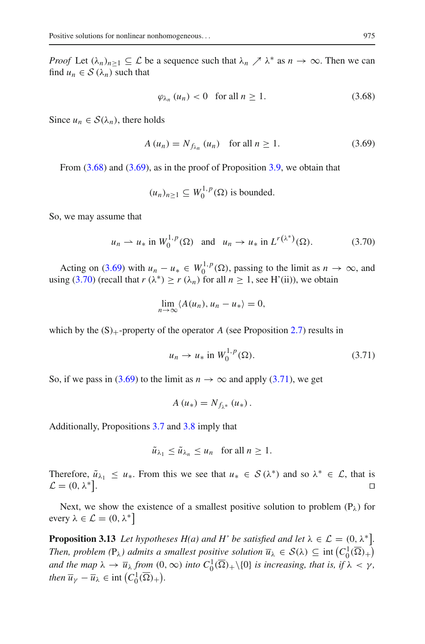*Proof* Let  $(\lambda_n)_{n>1} \subseteq L$  be a sequence such that  $\lambda_n \nearrow \lambda^*$  as  $n \to \infty$ . Then we can find  $u_n \in S(\lambda_n)$  such that

<span id="page-30-1"></span><span id="page-30-0"></span>
$$
\varphi_{\lambda_n}(u_n) < 0 \quad \text{for all } n \ge 1. \tag{3.68}
$$

Since  $u_n \in S(\lambda_n)$ , there holds

$$
A(u_n) = N_{f_{\lambda_n}}(u_n) \quad \text{for all } n \ge 1.
$$
 (3.69)

From  $(3.68)$  and  $(3.69)$ , as in the proof of Proposition [3.9,](#page-24-2) we obtain that

$$
(u_n)_{n\geq 1} \subseteq W_0^{1,p}(\Omega)
$$
 is bounded.

So, we may assume that

$$
u_n \rightharpoonup u_*
$$
 in  $W_0^{1,p}(\Omega)$  and  $u_n \rightharpoonup u_*$  in  $L^{r(\lambda^*)}(\Omega)$ . (3.70)

Acting on [\(3.69\)](#page-30-1) with  $u_n - u_* \in W_0^{1,p}(\Omega)$ , passing to the limit as  $n \to \infty$ , and using [\(3.70\)](#page-30-2) (recall that  $r(\lambda^*) \ge r(\lambda_n)$  for all  $n \ge 1$ , see H'(ii)), we obtain

<span id="page-30-2"></span>
$$
\lim_{n\to\infty}\langle A(u_n),u_n-u_*\rangle=0,
$$

which by the  $(S)$ <sub>+</sub>-property of the operator *A* (see Proposition [2.7\)](#page-5-1) results in

<span id="page-30-3"></span>
$$
u_n \to u_* \text{ in } W_0^{1,p}(\Omega). \tag{3.71}
$$

So, if we pass in [\(3.69\)](#page-30-1) to the limit as  $n \to \infty$  and apply [\(3.71\)](#page-30-3), we get

$$
A(u_*)=N_{f_{\lambda^*}}(u_*)\,.
$$

Additionally, Propositions [3.7](#page-19-2) and [3.8](#page-23-2) imply that

$$
\tilde{u}_{\lambda_1} \leq \tilde{u}_{\lambda_n} \leq u_n \quad \text{for all } n \geq 1.
$$

Therefore,  $\tilde{u}_{\lambda_1} \leq u_*$ . From this we see that  $u_* \in S(\lambda^*)$  and so  $\lambda^* \in \mathcal{L}$ , that is  $\mathcal{L} = (0, \lambda^*]$  $\mathcal{L} = (0, \lambda^*].$ .

<span id="page-30-4"></span>Next, we show the existence of a smallest positive solution to problem  $(P_{\lambda})$  for every  $\lambda \in \mathcal{L} = (0, \lambda^*)$ 

**Proposition 3.13** *Let hypotheses H(a) and H' be satisfied and let*  $\lambda \in \mathcal{L} = (0, \lambda^*]$ *. Then, problem*  $(P_{\lambda})$  *admits a smallest positive solution*  $\overline{u}_{\lambda} \in S(\lambda) \subseteq \text{int}(C_0^1(\overline{\Omega})_+)$ *and the map*  $\lambda \to \overline{u}_{\lambda}$  *from*  $(0, \infty)$  *into*  $C_0^1(\overline{\Omega})_+ \setminus \{0\}$  *is increasing, that is, if*  $\lambda < \gamma$ *, then*  $\overline{u}_{\gamma} - \overline{u}_{\lambda} \in \text{int}\left(C_0^1(\overline{\Omega})_+\right)$ .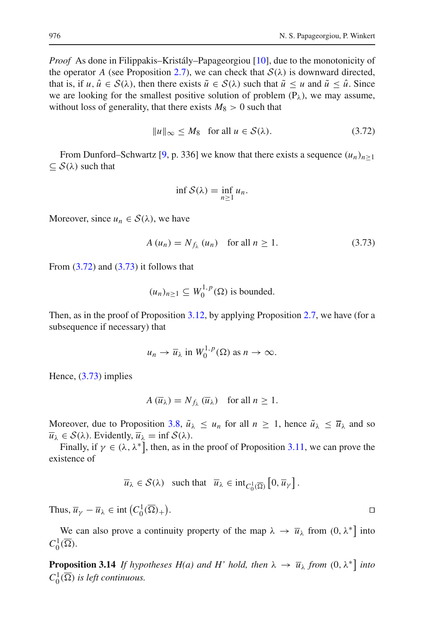*Proof* As done in Filippakis–Kristály–Papageorgiou [\[10\]](#page-33-1), due to the monotonicity of the operator *A* (see Proposition [2.7\)](#page-5-1), we can check that  $S(\lambda)$  is downward directed, that is, if  $u, \hat{u} \in S(\lambda)$ , then there exists  $\tilde{u} \in S(\lambda)$  such that  $\tilde{u} \le u$  and  $\tilde{u} \le \hat{u}$ . Since we are looking for the smallest positive solution of problem  $(P_\lambda)$ , we may assume, without loss of generality, that there exists  $M_8 > 0$  such that

$$
||u||_{\infty} \le M_8 \quad \text{for all } u \in \mathcal{S}(\lambda). \tag{3.72}
$$

From Dunford–Schwartz [\[9](#page-33-21), p. 336] we know that there exists a sequence  $(u_n)_{n>1}$  $\subseteq$  *S*( $\lambda$ ) such that

<span id="page-31-1"></span><span id="page-31-0"></span>
$$
\inf \mathcal{S}(\lambda) = \inf_{n \ge 1} u_n.
$$

Moreover, since  $u_n \in S(\lambda)$ , we have

$$
A(u_n) = N_{f_\lambda}(u_n) \quad \text{for all } n \ge 1.
$$
 (3.73)

From  $(3.72)$  and  $(3.73)$  it follows that

$$
(u_n)_{n\geq 1} \subseteq W_0^{1,p}(\Omega)
$$
 is bounded.

Then, as in the proof of Proposition [3.12,](#page-29-5) by applying Proposition [2.7,](#page-5-1) we have (for a subsequence if necessary) that

$$
u_n \to \overline{u}_\lambda
$$
 in  $W_0^{1,p}(\Omega)$  as  $n \to \infty$ .

Hence, [\(3.73\)](#page-31-1) implies

$$
A(\overline{u}_{\lambda}) = N_{f_{\lambda}}(\overline{u}_{\lambda}) \text{ for all } n \ge 1.
$$

Moreover, due to Proposition [3.8,](#page-23-2)  $\tilde{u}_{\lambda} \leq u_n$  for all  $n \geq 1$ , hence  $\tilde{u}_{\lambda} \leq \overline{u}_{\lambda}$  and so  $\overline{u}_{\lambda} \in \mathcal{S}(\lambda)$ . Evidently,  $\overline{u}_{\lambda} = \inf \mathcal{S}(\lambda)$ .

Finally, if  $\gamma \in (\lambda, \lambda^*]$ , then, as in the proof of Proposition [3.11,](#page-26-1) we can prove the existence of

$$
\overline{u}_{\lambda} \in \mathcal{S}(\lambda)
$$
 such that  $\overline{u}_{\lambda} \in \text{int}_{C_0^1(\overline{\Omega})} [0, \overline{u}_{\gamma}].$ 

Thus,  $\overline{u}_{\gamma} - \overline{u}_{\lambda} \in \text{int}\left(C_0^1(\overline{\Omega})_+\right)$ . De la provincia de la provincia de la provincia de la provincia de la provincia de la provincia de la provin<br>La provincia de la provincia de la provincia de la provincia de la provincia de la provincia de la provincia d

We can also prove a continuity property of the map  $\lambda \to \bar{u}_{\lambda}$  from  $(0, \lambda^*)$  into  $C_0^1(\overline{\Omega}).$ 

**Proposition 3.14** *If hypotheses H(a) and H' hold, then*  $\lambda \to \overline{u}_{\lambda}$  *from*  $(0, \lambda^*]$  *into*  $C_0^1(\overline{\Omega})$  *is left continuous.*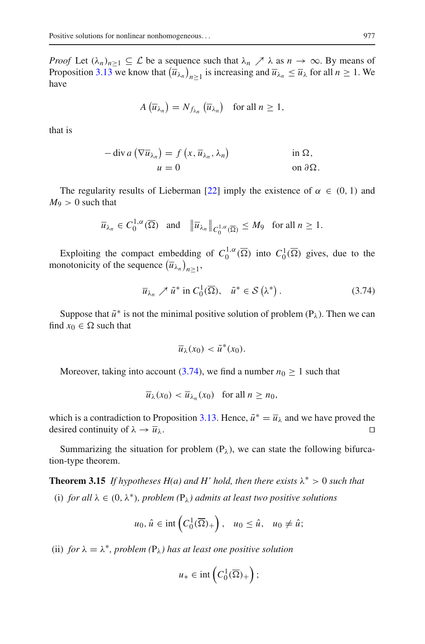*Proof* Let  $(\lambda_n)_{n>1} \subseteq \mathcal{L}$  be a sequence such that  $\lambda_n \nearrow \lambda$  as  $n \to \infty$ . By means of Proposition [3.13](#page-30-4) we know that  $(\overline{u}_{\lambda_n})_{n\geq 1}$  is increasing and  $\overline{u}_{\lambda_n} \leq \overline{u}_{\lambda}$  for all  $n \geq 1$ . We have

$$
A\left(\overline{u}_{\lambda_n}\right) = N_{f_{\lambda_n}}\left(\overline{u}_{\lambda_n}\right) \text{ for all } n \ge 1,
$$

that is

$$
-\operatorname{div} a\left(\nabla \overline{u}_{\lambda_n}\right) = f\left(x, \overline{u}_{\lambda_n}, \lambda_n\right) \qquad \text{in } \Omega, u = 0 \qquad \text{on } \partial \Omega.
$$

The regularity results of Lieberman [\[22\]](#page-33-9) imply the existence of  $\alpha \in (0, 1)$  and  $M_9 > 0$  such that

$$
\overline{u}_{\lambda_n} \in C_0^{1,\alpha}(\overline{\Omega})
$$
 and  $\|\overline{u}_{\lambda_n}\|_{C_0^{1,\alpha}(\overline{\Omega})} \le M_9$  for all  $n \ge 1$ .

Exploiting the compact embedding of  $C_0^{1,\alpha}(\overline{\Omega})$  into  $C_0^1(\overline{\Omega})$  gives, due to the monotonicity of the sequence  $(\overline{u}_{\lambda_n})_{n\geq 1}$ ,

$$
\overline{u}_{\lambda_n} \nearrow \tilde{u}^* \text{ in } C_0^1(\overline{\Omega}), \quad \tilde{u}^* \in \mathcal{S}(\lambda^*).
$$
 (3.74)

Suppose that  $\tilde{u}^*$  is not the minimal positive solution of problem (P<sub> $\lambda$ </sub>). Then we can find  $x_0 \in \Omega$  such that

<span id="page-32-0"></span>
$$
\overline{u}_{\lambda}(x_0) < \tilde{u}^*(x_0).
$$

Moreover, taking into account [\(3.74\)](#page-32-0), we find a number  $n_0 \geq 1$  such that

$$
\overline{u}_{\lambda}(x_0) < \overline{u}_{\lambda_n}(x_0) \quad \text{for all } n \ge n_0,
$$

which is a contradiction to Proposition [3.13.](#page-30-4) Hence,  $\tilde{u}^* = \overline{u}_{\lambda}$  and we have proved the desired continuity of  $\lambda \to \overline{u}_{\lambda}$ . desired continuity of  $\lambda \to \overline{u}_{\lambda}$ .

Summarizing the situation for problem  $(P_{\lambda})$ , we can state the following bifurcation-type theorem.

**Theorem 3.15** *If hypotheses H(a) and H' hold, then there exists*  $\lambda^* > 0$  *such that* (i) *for all*  $\lambda \in (0, \lambda^*)$ *, problem*  $(P_{\lambda})$  *admits at least two positive solutions* 

$$
u_0, \hat{u} \in \text{int}\left(C_0^1(\overline{\Omega})_+\right), \quad u_0 \leq \hat{u}, \quad u_0 \neq \hat{u};
$$

(ii) *for*  $\lambda = \lambda^*$ *, problem* ( $P_{\lambda}$ *) has at least one positive solution* 

$$
u_* \in \mathrm{int}\left(C_0^1(\overline{\Omega})_+\right);
$$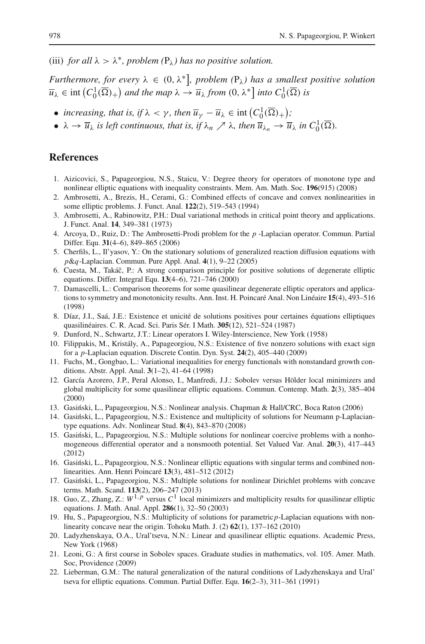(iii) *for all*  $\lambda > \lambda^*$ *, problem* ( $P_\lambda$ *) has no positive solution.* 

*Furthermore, for every* λ ∈ (0, λ∗ *, problem (*Pλ*) has a smallest positive solution*  $\overline{u}_{\lambda} \in \text{int}\left(C_0^1(\overline{\Omega})_+\right)$  and the map  $\lambda \to \overline{u}_{\lambda}$  from  $(0, \lambda^*]$  into  $C_0^1(\overline{\Omega})$  is

- *increasing, that is, if*  $\lambda < \gamma$ *, then*  $\overline{u}_{\gamma} \overline{u}_{\lambda} \in \text{int}(C_0^1(\overline{\Omega})_+)$ ;
- $\lambda \to \overline{u}_{\lambda}$  *is left continuous, that is, if*  $\lambda_n \nearrow \lambda$ *, then*  $\overline{u}_{\lambda_n} \to \overline{u}_{\lambda}$  *in*  $C_0^1(\overline{\Omega})$ *.*

### <span id="page-33-20"></span>**References**

- 1. Aizicovici, S., Papageorgiou, N.S., Staicu, V.: Degree theory for operators of monotone type and nonlinear elliptic equations with inequality constraints. Mem. Am. Math. Soc. **196**(915) (2008)
- <span id="page-33-0"></span>2. Ambrosetti, A., Brezis, H., Cerami, G.: Combined effects of concave and convex nonlinearities in some elliptic problems. J. Funct. Anal. **122**(2), 519–543 (1994)
- <span id="page-33-7"></span>3. Ambrosetti, A., Rabinowitz, P.H.: Dual variational methods in critical point theory and applications. J. Funct. Anal. **14**, 349–381 (1973)
- <span id="page-33-14"></span>4. Arcoya, D., Ruiz, D.: The Ambrosetti-Prodi problem for the *p* -Laplacian operator. Commun. Partial Differ. Equ. **31**(4–6), 849–865 (2006)
- <span id="page-33-10"></span>5. Cherfils, L., Il'yasov, Y.: On the stationary solutions of generalized reaction diffusion equations with *p*&*q*-Laplacian. Commun. Pure Appl. Anal. **4**(1), 9–22 (2005)
- <span id="page-33-16"></span>6. Cuesta, M., Takáˇc, P.: A strong comparison principle for positive solutions of degenerate elliptic equations. Differ. Integral Equ. **13**(4–6), 721–746 (2000)
- <span id="page-33-17"></span>7. Damascelli, L.: Comparison theorems for some quasilinear degenerate elliptic operators and applications to symmetry and monotonicity results. Ann. Inst. H. Poincaré Anal. Non Linéaire **15**(4), 493–516 (1998)
- <span id="page-33-19"></span>8. Díaz, J.I., Saá, J.E.: Existence et unicité de solutions positives pour certaines équations elliptiques quasilinéaires. C. R. Acad. Sci. Paris Sér. I Math. **305**(12), 521–524 (1987)
- 9. Dunford, N., Schwartz, J.T.: Linear operators I. Wiley-Interscience, New York (1958)
- <span id="page-33-21"></span><span id="page-33-1"></span>10. Filippakis, M., Kristály, A., Papageorgiou, N.S.: Existence of five nonzero solutions with exact sign for a *p*-Laplacian equation. Discrete Contin. Dyn. Syst. **24**(2), 405–440 (2009)
- <span id="page-33-11"></span>11. Fuchs, M., Gongbao, L.: Variational inequalities for energy functionals with nonstandard growth conditions. Abstr. Appl. Anal. **3**(1–2), 41–64 (1998)
- <span id="page-33-4"></span>12. García Azorero, J.P., Peral Alonso, I., Manfredi, J.J.: Sobolev versus Hölder local minimizers and global multiplicity for some quasilinear elliptic equations. Commun. Contemp. Math. **2**(3), 385–404 (2000)
- <span id="page-33-8"></span>13. Gasiński, L., Papageorgiou, N.S.: Nonlinear analysis. Chapman & Hall/CRC, Boca Raton (2006)
- <span id="page-33-12"></span>14. Gasiński, L., Papageorgiou, N.S.: Existence and multiplicity of solutions for Neumann p-Laplaciantype equations. Adv. Nonlinear Stud. **8**(4), 843–870 (2008)
- <span id="page-33-13"></span>15. Gasiński, L., Papageorgiou, N.S.: Multiple solutions for nonlinear coercive problems with a nonhomogeneous differential operator and a nonsmooth potential. Set Valued Var. Anal. **20**(3), 417–443 (2012)
- <span id="page-33-2"></span>16. Gasiński, L., Papageorgiou, N.S.: Nonlinear elliptic equations with singular terms and combined nonlinearities. Ann. Henri Poincaré **13**(3), 481–512 (2012)
- <span id="page-33-3"></span>17. Gasiński, L., Papageorgiou, N.S.: Multiple solutions for nonlinear Dirichlet problems with concave terms. Math. Scand. **113**(2), 206–247 (2013)
- <span id="page-33-5"></span>18. Guo, Z., Zhang, Z.:  $W^{1,p}$  versus  $C^1$  local minimizers and multiplicity results for quasilinear elliptic equations. J. Math. Anal. Appl. **286**(1), 32–50 (2003)
- <span id="page-33-6"></span>19. Hu, S., Papageorgiou, N.S.: Multiplicity of solutions for parametric*p*-Laplacian equations with nonlinearity concave near the origin. Tohoku Math. J. (2) **62**(1), 137–162 (2010)
- <span id="page-33-15"></span>20. Ladyzhenskaya, O.A., Ural'tseva, N.N.: Linear and quasilinear elliptic equations. Academic Press, New York (1968)
- <span id="page-33-18"></span>21. Leoni, G.: A first course in Sobolev spaces. Graduate studies in mathematics, vol. 105. Amer. Math. Soc, Providence (2009)
- <span id="page-33-9"></span>22. Lieberman, G.M.: The natural generalization of the natural conditions of Ladyzhenskaya and Ural' tseva for elliptic equations. Commun. Partial Differ. Equ. **16**(2–3), 311–361 (1991)